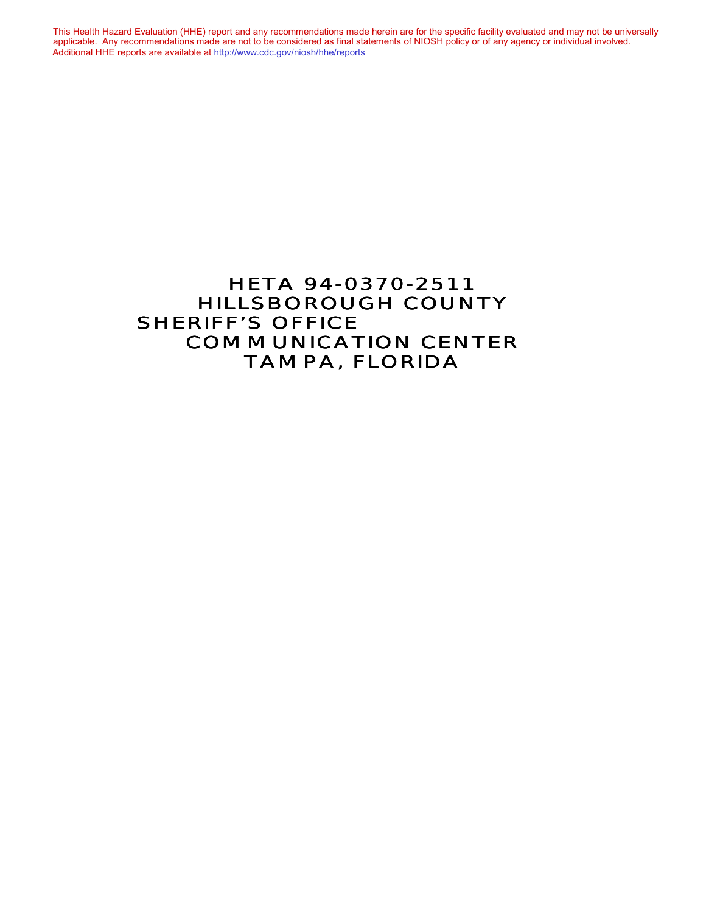This Health Hazard Evaluation (HHE) report and any recommendations made herein are for the specific facility evaluated and may not be universally applicable. Any recommendations made are not to be considered as final statements of NIOSH policy or of any agency or individual involved. Additional HHE reports are available at <http://www.cdc.gov/niosh/hhe/reports> Additional HHE reports are available at <http://www.cdc.gov/niosh/hhe/reports>This Health Hazard Evaluation (HHE) report and any recommendations made herein are for the specific facility evaluated and may not be universally applicable. Any recommendations made are not to be considered as final statements of NIOSH policy or of any agency or individual involved

# HETA 94-0370-2511 HILLSBOROUGH COUNTY **SHERIFF'S OFFICE** COMMUNICATION CENTER TAMPA, FLORIDA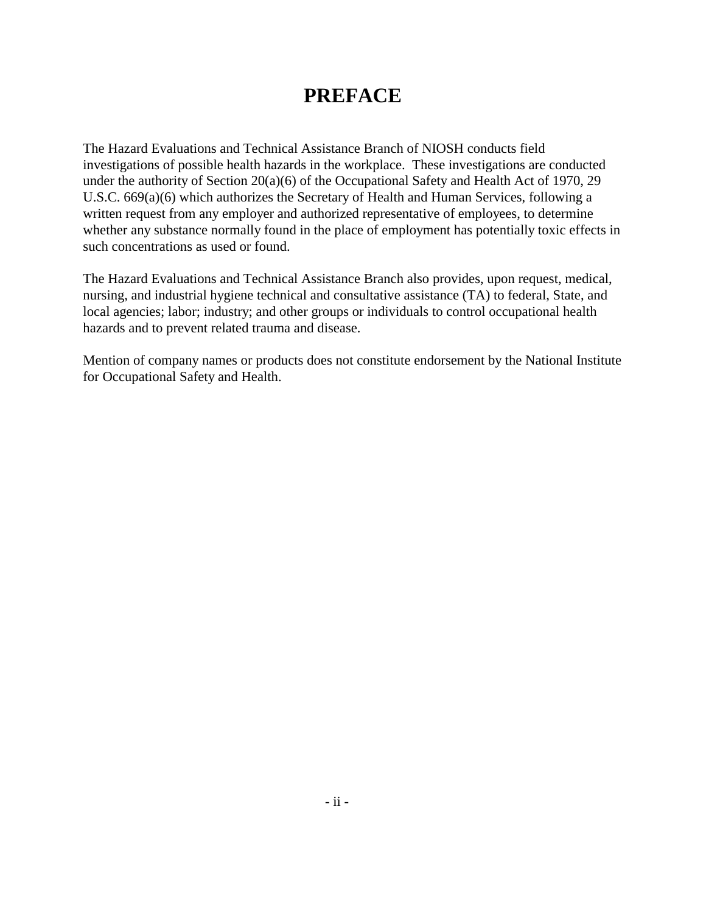# **PREFACE**

The Hazard Evaluations and Technical Assistance Branch of NIOSH conducts field investigations of possible health hazards in the workplace. These investigations are conducted under the authority of Section 20(a)(6) of the Occupational Safety and Health Act of 1970, 29 U.S.C. 669(a)(6) which authorizes the Secretary of Health and Human Services, following a written request from any employer and authorized representative of employees, to determine whether any substance normally found in the place of employment has potentially toxic effects in such concentrations as used or found.

The Hazard Evaluations and Technical Assistance Branch also provides, upon request, medical, nursing, and industrial hygiene technical and consultative assistance (TA) to federal, State, and local agencies; labor; industry; and other groups or individuals to control occupational health hazards and to prevent related trauma and disease.

Mention of company names or products does not constitute endorsement by the National Institute for Occupational Safety and Health.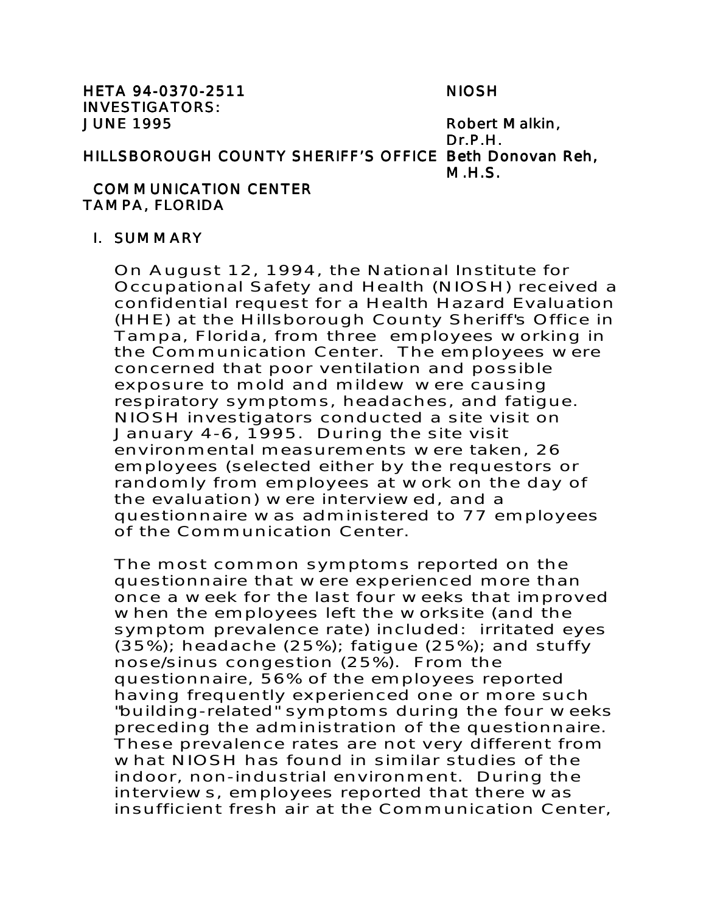HETA 94-0370-2511 NIOSH 94-0370-2511 INVESTIGATORS: JUNE 1995 **Robert Malkin**,

Dr.P.H. HILLSBOROUGH COUNTY SHERIFF'S OFFICE Beth Donovan Reh, M.H.S.

## COMMUNICATION CENTER TAMPA, FLORIDA

#### I. SUMMARY

On August 12, 1994, the National Institute for Occupational Safety and Health (NIOSH) received a confidential request for a Health Hazard Evaluation (HHE) at the Hillsborough County Sheriff's Office in Tampa, Florida, from three employees working in the Communication Center. The employees were concerned that poor ventilation and possible exposure to mold and mildew were causing respiratory symptoms, headaches, and fatigue. NIOSH investigators conducted a site visit on January 4-6, 1995. During the site visit environmental measurements were taken, 26 employees (selected either by the requestors or randomly from employees at work on the day of the evaluation) were interviewed, and a questionnaire was administered to 77 employees of the Communication Center.

The most common symptoms reported on the questionnaire that were experienced more than once a week for the last four weeks that improved when the employees left the worksite (and the symptom prevalence rate) included: irritated eyes (35%); headache (25%); fatigue (25%); and stuffy nose/sinus congestion (25%). From the questionnaire, 56% of the employees reported having frequently experienced one or more such "building-related" symptoms during the four weeks preceding the administration of the questionnaire. These prevalence rates are not very different from what NIOSH has found in similar studies of the indoor, non-industrial environment. During the interviews, employees reported that there was insufficient fresh air at the Communication Center,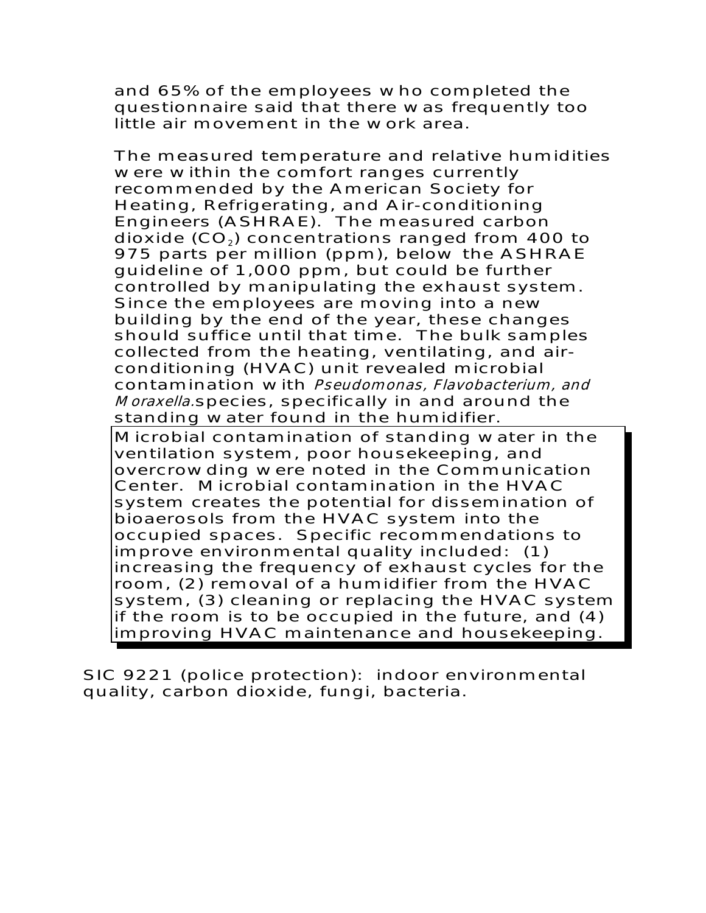and 65% of the employees who completed the questionnaire said that there was frequently too little air movement in the work area.

The measured temperature and relative humidities were within the comfort ranges currently recommended by the American Society for Heating, Refrigerating, and Air-conditioning Engineers (ASHRAE). The measured carbon dioxide  $(CO<sub>2</sub>)$  concentrations ranged from 400 to 975 parts per million (ppm), below the ASHRAE guideline of 1,000 ppm, but could be further controlled by manipulating the exhaust system. Since the employees are moving into a new building by the end of the year, these changes should suffice until that time. The bulk samples collected from the heating, ventilating, and airconditioning (HVAC) unit revealed microbial contamination with Pseudomonas, Flavobacterium, and Moraxella.species, specifically in and around the standing water found in the humidifier. Microbial contamination of standing water in the ventilation system, poor housekeeping, and overcrowding were noted in the Communication Center. Microbial contamination in the HVAC system creates the potential for dissemination of bioaerosols from the HVAC system into the occupied spaces. Specific recommendations to

improve environmental quality included: (1) increasing the frequency of exhaust cycles for the room, (2) removal of a humidifier from the HVAC system, (3) cleaning or replacing the HVAC system if the room is to be occupied in the future, and (4) improving HVAC maintenance and housekeeping.

SIC 9221 (police protection): indoor environmental quality, carbon dioxide, fungi, bacteria.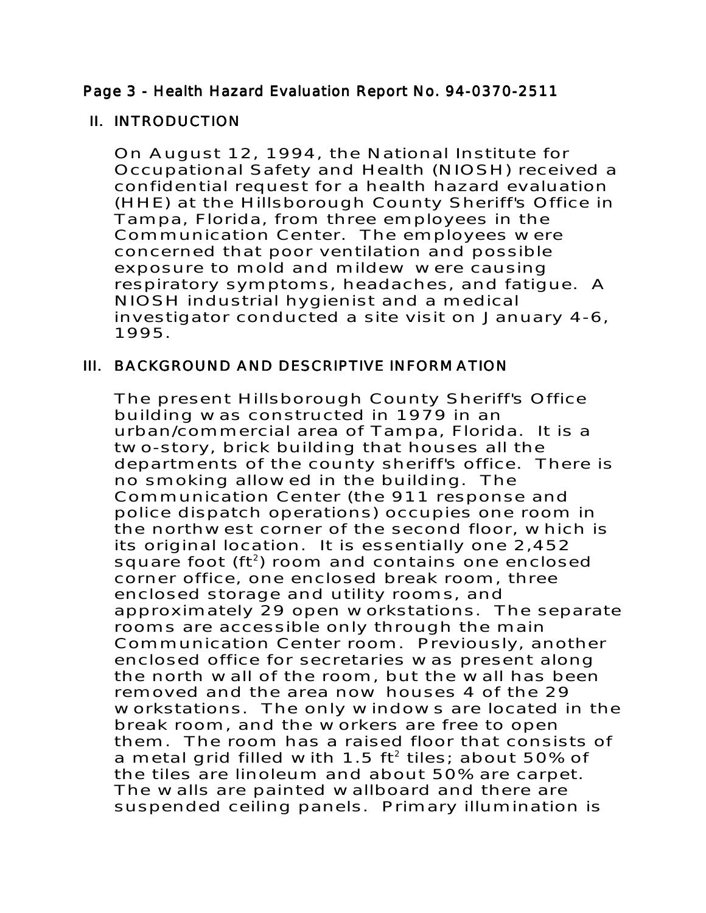# Page 3 - Health Hazard Evaluation Report No. 94-0370-2511

## **II. INTRODUCTION**

On August 12, 1994, the National Institute for Occupational Safety and Health (NIOSH) received a confidential request for a health hazard evaluation (HHE) at the Hillsborough County Sheriff's Office in Tampa, Florida, from three employees in the Communication Center. The employees were concerned that poor ventilation and possible exposure to mold and mildew were causing respiratory symptoms, headaches, and fatigue. A NIOSH industrial hygienist and a medical investigator conducted a site visit on January 4-6, 1995.

# III. BACKGROUND AND DESCRIPTIVE INFORMATION

The present Hillsborough County Sheriff's Office building was constructed in 1979 in an urban/commercial area of Tampa, Florida. It is a two-story, brick building that houses all the departments of the county sheriff's office. There is no smoking allowed in the building. The Communication Center (the 911 response and police dispatch operations) occupies one room in the northwest corner of the second floor, which is its original location. It is essentially one 2,452 square foot  $(ft^2)$  room and contains one enclosed corner office, one enclosed break room, three enclosed storage and utility rooms, and approximately 29 open workstations. The separate rooms are accessible only through the main Communication Center room. Previously, another enclosed office for secretaries was present along the north wall of the room, but the wall has been removed and the area now houses 4 of the 29 workstations. The only windows are located in the break room, and the workers are free to open them. The room has a raised floor that consists of a metal grid filled with 1.5  $ft^2$  tiles; about 50% of the tiles are linoleum and about 50% are carpet. The walls are painted wallboard and there are suspended ceiling panels. Primary illumination is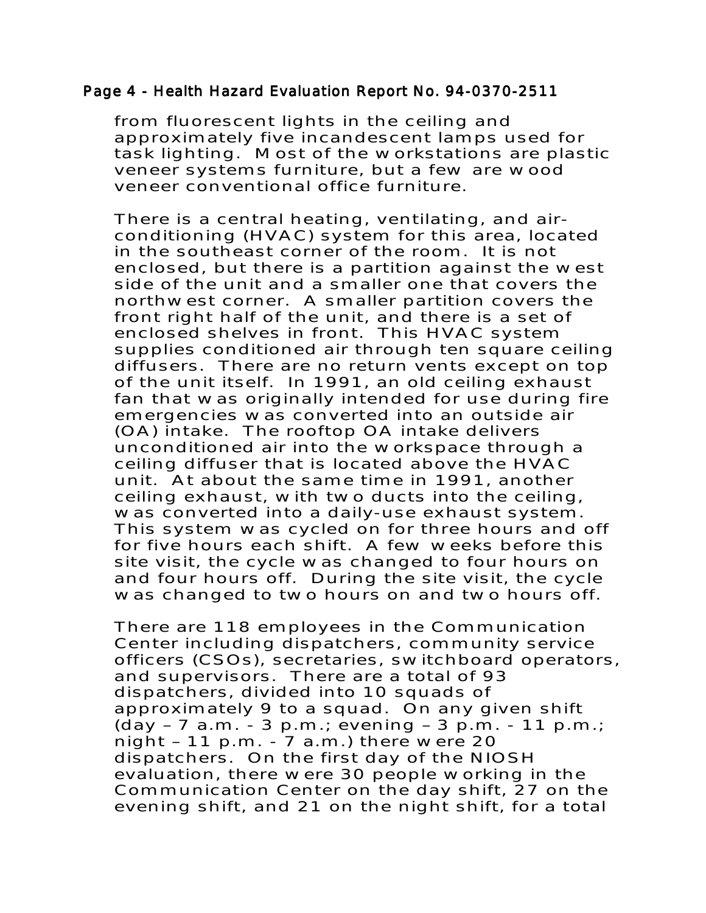#### Page 4 - Health Hazard Evaluation Report No. 94-0370-2511

from fluorescent lights in the ceiling and approximately five incandescent lamps used for task lighting. Most of the workstations are plastic veneer systems furniture, but a few are wood veneer conventional office furniture.

There is a central heating, ventilating, and airconditioning (HVAC) system for this area, located in the southeast corner of the room. It is not enclosed, but there is a partition against the west side of the unit and a smaller one that covers the northwest corner. A smaller partition covers the front right half of the unit, and there is a set of enclosed shelves in front. This HVAC system supplies conditioned air through ten square ceiling diffusers. There are no return vents except on top of the unit itself. In 1991, an old ceiling exhaust fan that was originally intended for use during fire emergencies was converted into an outside air (OA) intake. The rooftop OA intake delivers unconditioned air into the workspace through a ceiling diffuser that is located above the HVAC unit. At about the same time in 1991, another ceiling exhaust, with two ducts into the ceiling, was converted into a daily-use exhaust system. This system was cycled on for three hours and off for five hours each shift. A few weeks before this site visit, the cycle was changed to four hours on and four hours off. During the site visit, the cycle was changed to two hours on and two hours off.

There are 118 employees in the Communication Center including dispatchers, community service officers (CSOs), secretaries, switchboard operators, and supervisors. There are a total of 93 dispatchers, divided into 10 squads of approximately 9 to a squad. On any given shift  $(\text{day} - 7 \text{ a.m.} - 3 \text{ p.m.}; \text{ evening} - 3 \text{ p.m.} - 11 \text{ p.m.};$ night – 11 p.m. - 7 a.m.) there were 20 dispatchers. On the first day of the NIOSH evaluation, there were 30 people working in the Communication Center on the day shift, 27 on the evening shift, and 21 on the night shift, for a total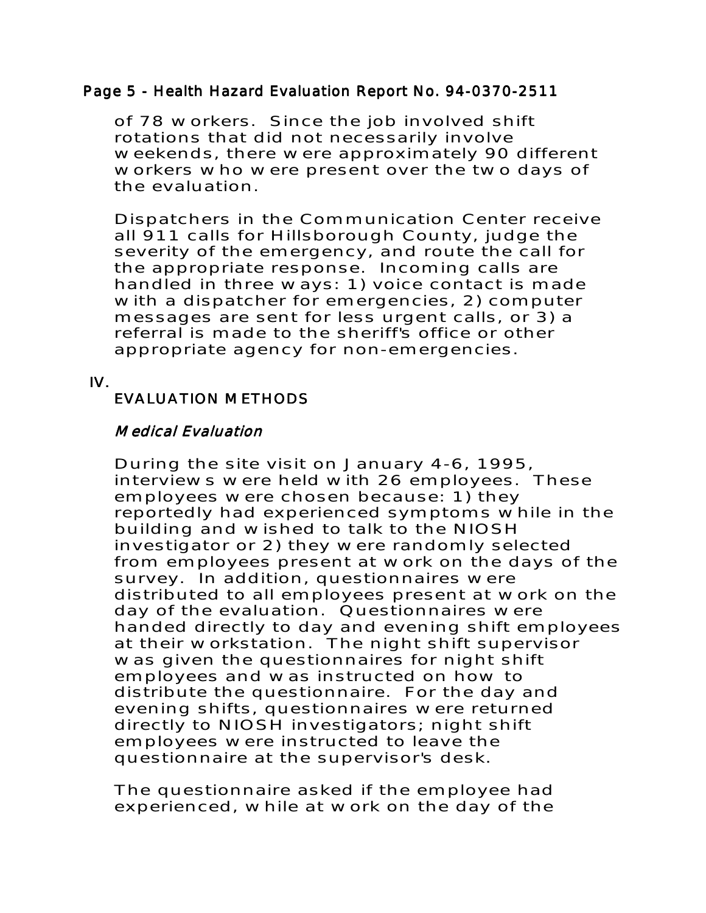#### Page 5 - Health Hazard Evaluation Report No. 94-0370-2511

of 78 workers. Since the job involved shift rotations that did not necessarily involve weekends, there were approximately 90 different workers who were present over the two days of the evaluation.

Dispatchers in the Communication Center receive all 911 calls for Hillsborough County, judge the severity of the emergency, and route the call for the appropriate response. Incoming calls are handled in three ways: 1) voice contact is made with a dispatcher for emergencies, 2) computer messages are sent for less urgent calls, or 3) a referral is made to the sheriff's office or other appropriate agency for non-emergencies.

IV.

# EVALUATION METHODS

## Medical Evaluation

During the site visit on January 4-6, 1995, interviews were held with 26 employees. These employees were chosen because: 1) they reportedly had experienced symptoms while in the building and wished to talk to the NIOSH investigator or 2) they were randomly selected from employees present at work on the days of the survey. In addition, questionnaires were distributed to all employees present at work on the day of the evaluation. Questionnaires were handed directly to day and evening shift employees at their workstation. The night shift supervisor was given the questionnaires for night shift employees and was instructed on how to distribute the questionnaire. For the day and evening shifts, questionnaires were returned directly to NIOSH investigators; night shift employees were instructed to leave the questionnaire at the supervisor's desk.

The questionnaire asked if the employee had experienced, while at work on the day of the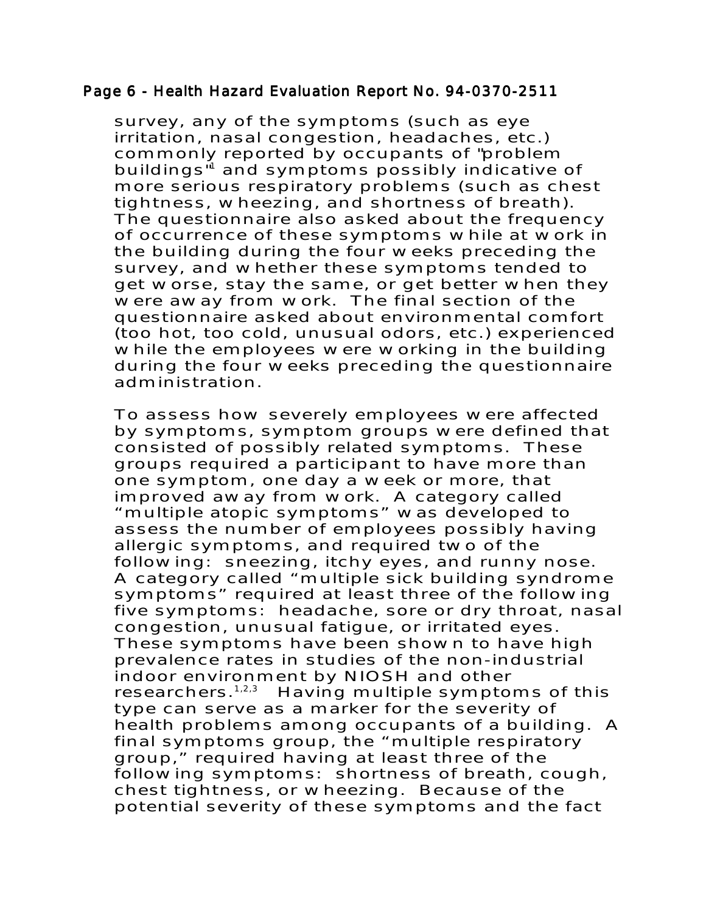#### Page 6 - Health Hazard Evaluation Report No. 94-0370-2511

survey, any of the symptoms (such as eye irritation, nasal congestion, headaches, etc.) commonly reported by occupants of "problem buildings<sup>"1</sup> and symptoms possibly indicative of more serious respiratory problems (such as chest tightness, wheezing, and shortness of breath). The questionnaire also asked about the frequency of occurrence of these symptoms while at work in the building during the four weeks preceding the survey, and whether these symptoms tended to get worse, stay the same, or get better when they were away from work. The final section of the questionnaire asked about environmental comfort (too hot, too cold, unusual odors, etc.) experienced while the employees were working in the building during the four weeks preceding the questionnaire administration.

To assess how severely employees were affected by symptoms, symptom groups were defined that consisted of possibly related symptoms. These groups required a participant to have more than one symptom, one day a week or more, that improved away from work. A category called "multiple atopic symptoms" was developed to assess the number of employees possibly having allergic symptoms, and required two of the following: sneezing, itchy eyes, and runny nose. A category called "multiple sick building syndrome symptoms" required at least three of the following five symptoms: headache, sore or dry throat, nasal congestion, unusual fatigue, or irritated eyes. These symptoms have been shown to have high prevalence rates in studies of the non-industrial indoor environment by NIOSH and other researchers.<sup>1,2,3</sup> Having multiple symptoms of this type can serve as a marker for the severity of health problems among occupants of a building. A final symptoms group, the "multiple respiratory group," required having at least three of the following symptoms: shortness of breath, cough, chest tightness, or wheezing. Because of the potential severity of these symptoms and the fact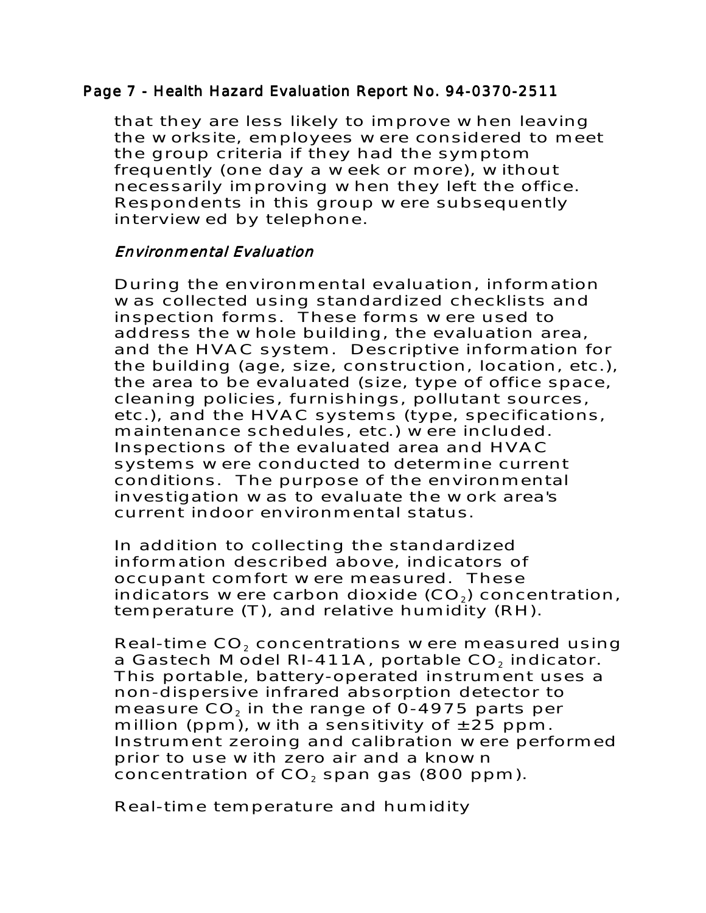## Page 7 - Health Hazard Evaluation Report No. 94-0370-2511

that they are less likely to improve when leaving the worksite, employees were considered to meet the group criteria if they had the symptom frequently (one day a week or more), without necessarily improving when they left the office. Respondents in this group were subsequently interviewed by telephone.

## Environmental Evaluation

During the environmental evaluation, information was collected using standardized checklists and inspection forms. These forms were used to address the whole building, the evaluation area, and the HVAC system. Descriptive information for the building (age, size, construction, location, etc.), the area to be evaluated (size, type of office space, cleaning policies, furnishings, pollutant sources, etc.), and the HVAC systems (type, specifications, maintenance schedules, etc.) were included. Inspections of the evaluated area and HVAC systems were conducted to determine current conditions. The purpose of the environmental investigation was to evaluate the work area's current indoor environmental status.

In addition to collecting the standardized information described above, indicators of occupant comfort were measured. These indicators were carbon dioxide  $(CO<sub>2</sub>)$  concentration, temperature (T), and relative humidity (RH).

Real-time CO<sub>2</sub> concentrations were measured using a Gastech Model RI-411A, portable  $CO<sub>2</sub>$  indicator. This portable, battery-operated instrument uses a non-dispersive infrared absorption detector to measure  $CO<sub>2</sub>$  in the range of 0-4975 parts per million (ppm), with a sensitivity of  $\pm 25$  ppm. Instrument zeroing and calibration were performed prior to use with zero air and a known concentration of  $CO<sub>2</sub>$  span gas (800 ppm).

Real-time temperature and humidity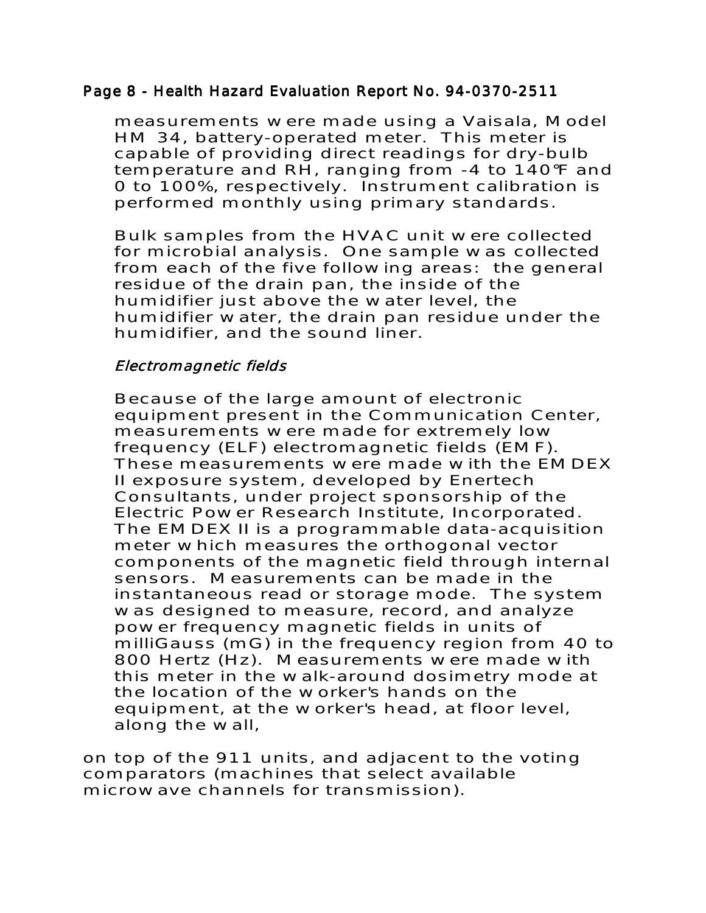## Page 8 - Health Hazard Evaluation Report No. 94-0370-2511

measurements were made using a Vaisala, Model HM 34, battery-operated meter. This meter is capable of providing direct readings for dry-bulb temperature and RH, ranging from -4 to 140°F and 0 to 100%, respectively. Instrument calibration is performed monthly using primary standards.

Bulk samples from the HVAC unit were collected for microbial analysis. One sample was collected from each of the five following areas: the general residue of the drain pan, the inside of the humidifier just above the water level, the humidifier water, the drain pan residue under the humidifier, and the sound liner.

# Electromagnetic fields

Because of the large amount of electronic equipment present in the Communication Center, measurements were made for extremely low frequency (ELF) electromagnetic fields (EMF). These measurements were made with the EMDEX II exposure system, developed by Enertech Consultants, under project sponsorship of the Electric Power Research Institute, Incorporated. The EMDEX II is a programmable data-acquisition meter which measures the orthogonal vector components of the magnetic field through internal sensors. Measurements can be made in the instantaneous read or storage mode. The system was designed to measure, record, and analyze power frequency magnetic fields in units of milliGauss (mG) in the frequency region from 40 to 800 Hertz (Hz). Measurements were made with this meter in the walk-around dosimetry mode at the location of the worker's hands on the equipment, at the worker's head, at floor level, along the wall,

on top of the 911 units, and adjacent to the voting comparators (machines that select available microwave channels for transmission).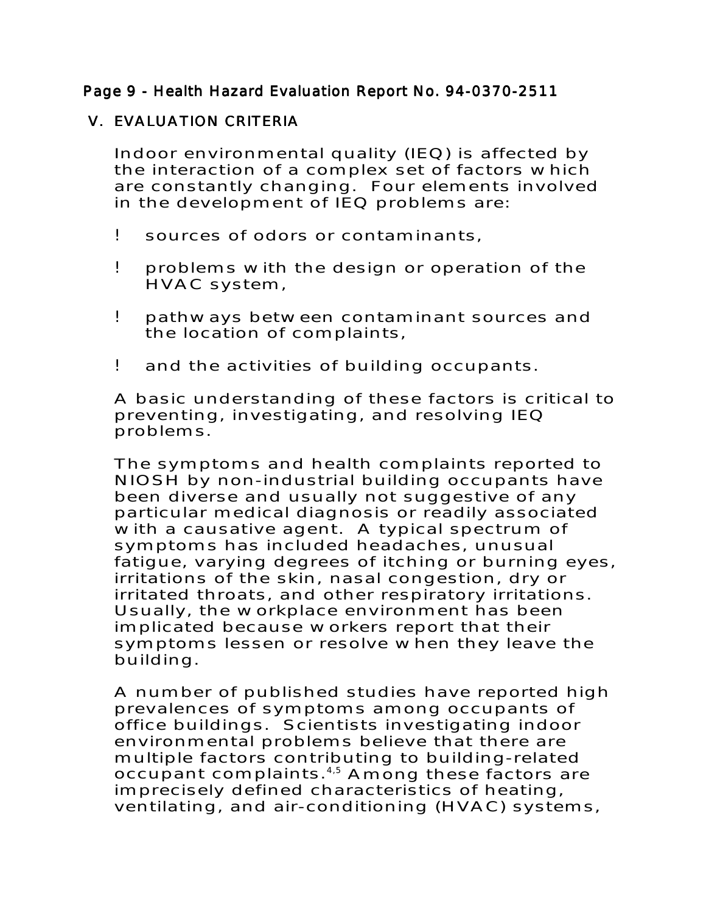# Page 9 - Health Hazard Evaluation Report No. 94-0370-2511

# **V. EVALUATION CRITERIA**

Indoor environmental quality (IEQ) is affected by the interaction of a complex set of factors which are constantly changing. Four elements involved in the development of IEQ problems are:

- ! sources of odors or contaminants,
- ! problems with the design or operation of the HVAC system,
- ! pathways between contaminant sources and the location of complaints,
- ! and the activities of building occupants.

A basic understanding of these factors is critical to preventing, investigating, and resolving IEQ problems.

The symptoms and health complaints reported to NIOSH by non-industrial building occupants have been diverse and usually not suggestive of any particular medical diagnosis or readily associated with a causative agent. A typical spectrum of symptoms has included headaches, unusual fatigue, varying degrees of itching or burning eyes, irritations of the skin, nasal congestion, dry or irritated throats, and other respiratory irritations. Usually, the workplace environment has been implicated because workers report that their symptoms lessen or resolve when they leave the building.

A number of published studies have reported high prevalences of symptoms among occupants of office buildings. Scientists investigating indoor environmental problems believe that there are multiple factors contributing to building-related occupant complaints.<sup>4,5</sup> Among these factors are imprecisely defined characteristics of heating, ventilating, and air-conditioning (HVAC) systems,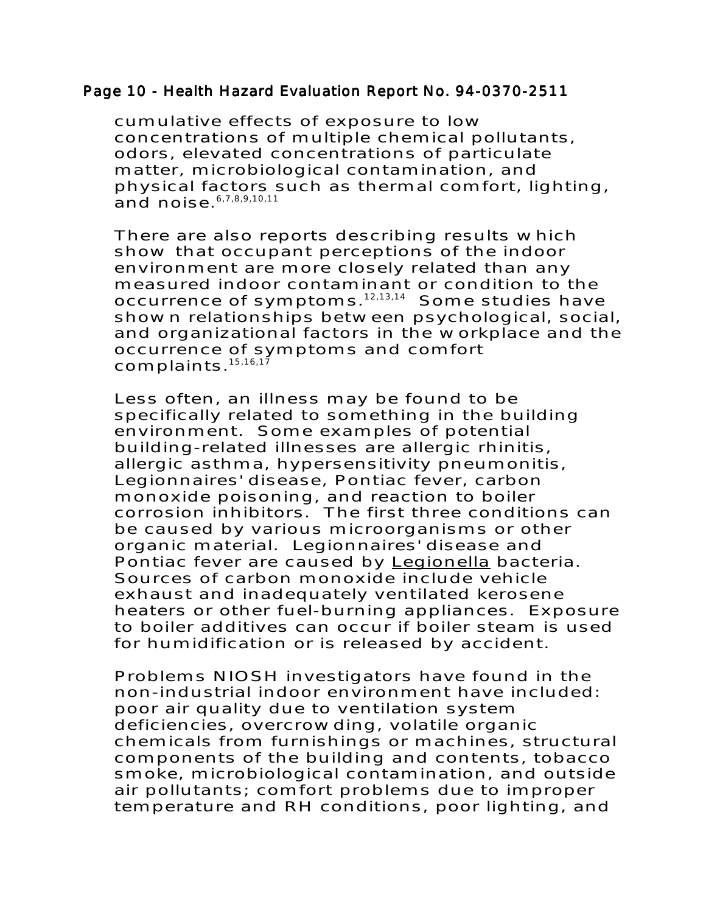#### Page 10 - Health Hazard Evaluation Report No. 94-0370-2511

cumulative effects of exposure to low concentrations of multiple chemical pollutants, odors, elevated concentrations of particulate matter, microbiological contamination, and physical factors such as thermal comfort, lighting, and noise.6,7,8,9,10,11

There are also reports describing results which show that occupant perceptions of the indoor environment are more closely related than any measured indoor contaminant or condition to the occurrence of symptoms.12,13,14 Some studies have shown relationships between psychological, social, and organizational factors in the workplace and the occurrence of symptoms and comfort complaints.<sup>15,16,17</sup>

Less often, an illness may be found to be specifically related to something in the building environment. Some examples of potential building-related illnesses are allergic rhinitis, allergic asthma, hypersensitivity pneumonitis, Legionnaires' disease, Pontiac fever, carbon monoxide poisoning, and reaction to boiler corrosion inhibitors. The first three conditions can be caused by various microorganisms or other organic material. Legionnaires' disease and Pontiac fever are caused by Legionella bacteria. Sources of carbon monoxide include vehicle exhaust and inadequately ventilated kerosene heaters or other fuel-burning appliances. Exposure to boiler additives can occur if boiler steam is used for humidification or is released by accident.

Problems NIOSH investigators have found in the non-industrial indoor environment have included: poor air quality due to ventilation system deficiencies, overcrowding, volatile organic chemicals from furnishings or machines, structural components of the building and contents, tobacco smoke, microbiological contamination, and outside air pollutants; comfort problems due to improper temperature and RH conditions, poor lighting, and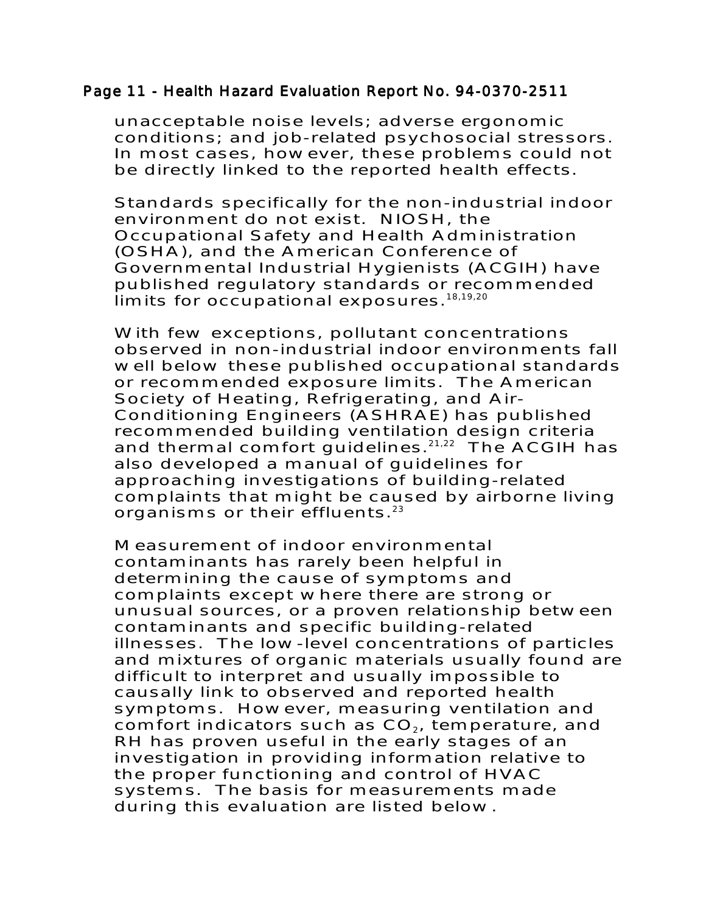#### Page 11 - Health Hazard Evaluation Report No. 94-0370-2511

unacceptable noise levels; adverse ergonomic conditions; and job-related psychosocial stressors. In most cases, however, these problems could not be directly linked to the reported health effects.

Standards specifically for the non-industrial indoor environment do not exist. NIOSH, the Occupational Safety and Health Administration (OSHA), and the American Conference of Governmental Industrial Hygienists (ACGIH) have published regulatory standards or recommended  $\overline{\mathsf{limits}}$ .<sup>18,19,20</sup>

With few exceptions, pollutant concentrations observed in non-industrial indoor environments fall well below these published occupational standards or recommended exposure limits. The American Society of Heating, Refrigerating, and Air-Conditioning Engineers (ASHRAE) has published recommended building ventilation design criteria and thermal comfort guidelines. $21,22$  The ACGIH has also developed a manual of guidelines for approaching investigations of building-related complaints that might be caused by airborne living organisms or their effluents. $23$ 

Measurement of indoor environmental contaminants has rarely been helpful in determining the cause of symptoms and complaints except where there are strong or unusual sources, or a proven relationship between contaminants and specific building-related illnesses. The low-level concentrations of particles and mixtures of organic materials usually found are difficult to interpret and usually impossible to causally link to observed and reported health symptoms. However, measuring ventilation and comfort indicators such as  $CO<sub>2</sub>$ , temperature, and RH has proven useful in the early stages of an investigation in providing information relative to the proper functioning and control of HVAC systems. The basis for measurements made during this evaluation are listed below.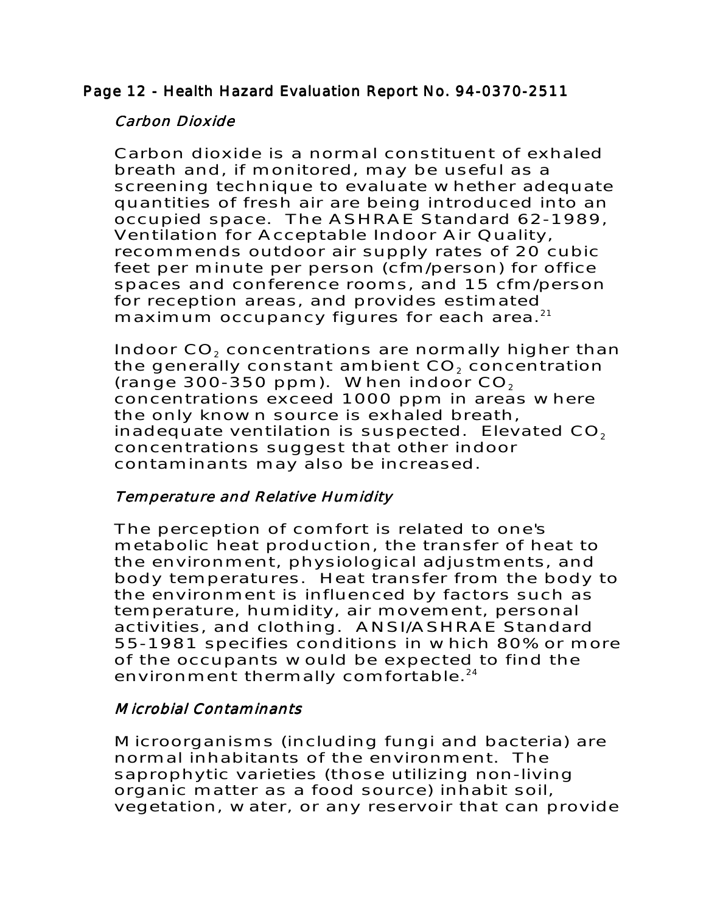# Page 12 - Health Hazard Evaluation Report No. 94-0370-2511

# Carbon Dioxide

Carbon dioxide is a normal constituent of exhaled breath and, if monitored, may be useful as a screening technique to evaluate whether adequate quantities of fresh air are being introduced into an occupied space. The ASHRAE Standard 62-1989, Ventilation for Acceptable Indoor Air Quality, recommends outdoor air supply rates of 20 cubic feet per minute per person (cfm/person) for office spaces and conference rooms, and 15 cfm/person for reception areas, and provides estimated maximum occupancy figures for each area.<sup>21</sup>

Indoor CO<sub>2</sub> concentrations are normally higher than the generally constant ambient  $CO<sub>2</sub>$  concentration (range 300-350 ppm). When indoor  $CO<sub>2</sub>$ concentrations exceed 1000 ppm in areas where the only known source is exhaled breath, inadequate ventilation is suspected. Elevated  $CO<sub>2</sub>$ concentrations suggest that other indoor contaminants may also be increased.

# Temperature and Relative Humidity

The perception of comfort is related to one's metabolic heat production, the transfer of heat to the environment, physiological adjustments, and body temperatures. Heat transfer from the body to the environment is influenced by factors such as temperature, humidity, air movement, personal activities, and clothing. ANSI/ASHRAE Standard 55-1981 specifies conditions in which 80% or more of the occupants would be expected to find the environment thermally comfortable.<sup>24</sup>

# Microbial Contaminants

Microorganisms (including fungi and bacteria) are normal inhabitants of the environment. The saprophytic varieties (those utilizing non-living organic matter as a food source) inhabit soil, vegetation, water, or any reservoir that can provide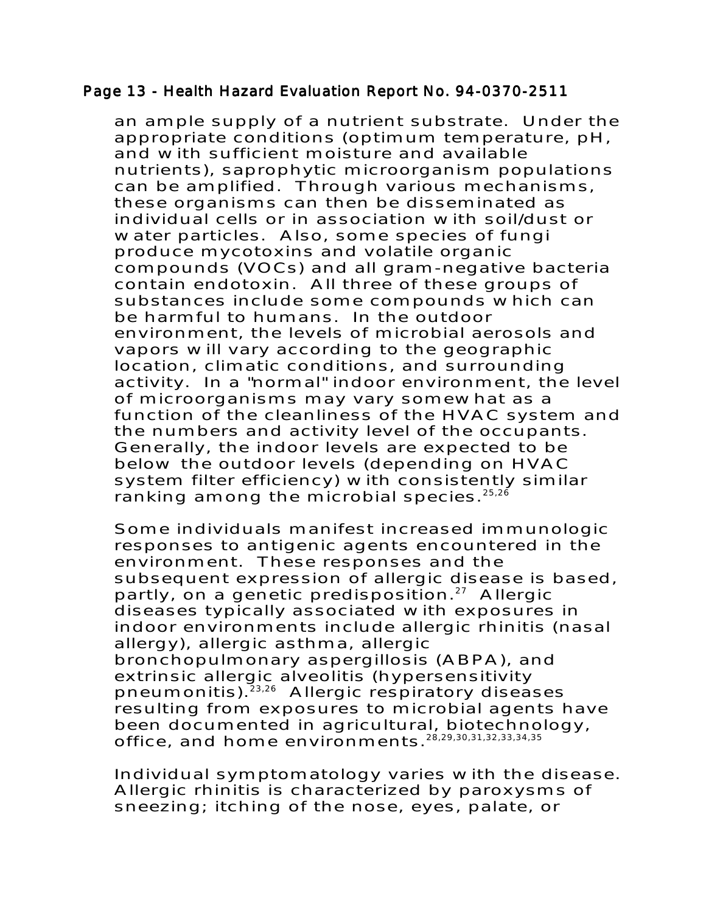#### Page 13 - Health Hazard Evaluation Report No. 94-0370-2511

an ample supply of a nutrient substrate. Under the appropriate conditions (optimum temperature, pH, and with sufficient moisture and available nutrients), saprophytic microorganism populations can be amplified. Through various mechanisms, these organisms can then be disseminated as individual cells or in association with soil/dust or water particles. Also, some species of fungi produce mycotoxins and volatile organic compounds (VOCs) and all gram-negative bacteria contain endotoxin. All three of these groups of substances include some compounds which can be harmful to humans. In the outdoor environment, the levels of microbial aerosols and vapors will vary according to the geographic location, climatic conditions, and surrounding activity. In a "normal" indoor environment, the level of microorganisms may vary somewhat as a function of the cleanliness of the HVAC system and the numbers and activity level of the occupants. Generally, the indoor levels are expected to be below the outdoor levels (depending on HVAC system filter efficiency) with consistently similar ranking among the microbial species. $25,26$ 

Some individuals manifest increased immunologic responses to antigenic agents encountered in the environment. These responses and the subsequent expression of allergic disease is based, partly, on a genetic predisposition. $27$  Allergic diseases typically associated with exposures in indoor environments include allergic rhinitis (nasal allergy), allergic asthma, allergic bronchopulmonary aspergillosis (ABPA), and extrinsic allergic alveolitis (hypersensitivity pneumonitis).<sup>23,26</sup> Allergic respiratory diseases resulting from exposures to microbial agents have been documented in agricultural, biotechnology, office, and home environments.28,29,30,31,32,33,34,35

Individual symptomatology varies with the disease. Allergic rhinitis is characterized by paroxysms of sneezing; itching of the nose, eyes, palate, or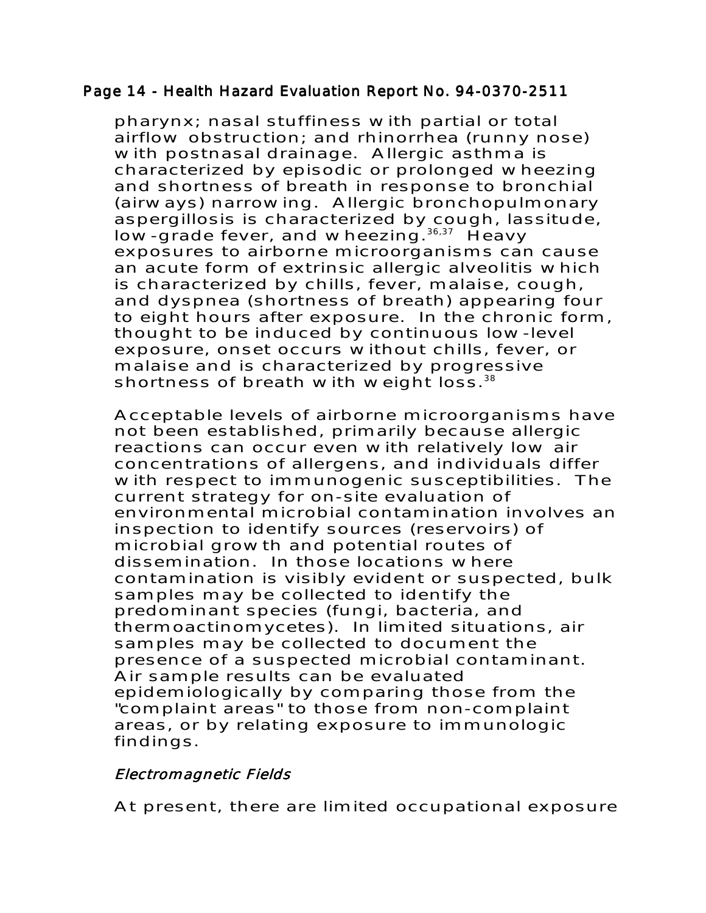#### Page 14 - Health Hazard Evaluation Report No. 94-0370-2511

pharynx; nasal stuffiness with partial or total airflow obstruction; and rhinorrhea (runny nose) with postnasal drainage. Allergic asthma is characterized by episodic or prolonged wheezing and shortness of breath in response to bronchial (airways) narrowing. Allergic bronchopulmonary aspergillosis is characterized by cough, lassitude, low-grade fever, and wheezing.<sup>36,37</sup> Heavy exposures to airborne microorganisms can cause an acute form of extrinsic allergic alveolitis which is characterized by chills, fever, malaise, cough, and dyspnea (shortness of breath) appearing four to eight hours after exposure. In the chronic form, thought to be induced by continuous low-level exposure, onset occurs without chills, fever, or malaise and is characterized by progressive shortness of breath with weight loss. $38$ 

Acceptable levels of airborne microorganisms have not been established, primarily because allergic reactions can occur even with relatively low air concentrations of allergens, and individuals differ with respect to immunogenic susceptibilities. The current strategy for on-site evaluation of environmental microbial contamination involves an inspection to identify sources (reservoirs) of microbial growth and potential routes of dissemination. In those locations where contamination is visibly evident or suspected, bulk samples may be collected to identify the predominant species (fungi, bacteria, and thermoactinomycetes). In limited situations, air samples may be collected to document the presence of a suspected microbial contaminant. Air sample results can be evaluated epidemiologically by comparing those from the "complaint areas" to those from non-complaint areas, or by relating exposure to immunologic findings.

# Electromagnetic Fields

At present, there are limited occupational exposure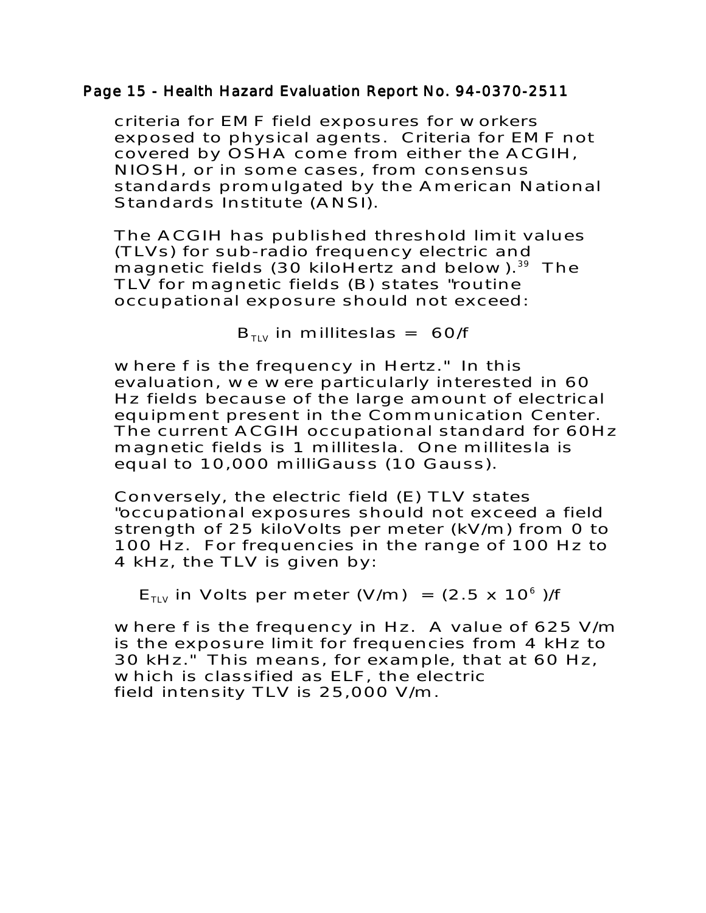#### Page 15 - Health Hazard Evaluation Report No. 94-0370-2511

criteria for EMF field exposures for workers exposed to physical agents. Criteria for EMF not covered by OSHA come from either the ACGIH, NIOSH, or in some cases, from consensus standards promulgated by the American National Standards Institute (ANSI).

The ACGIH has published threshold limit values (TLVs) for sub-radio frequency electric and magnetic fields (30 kiloHertz and below).<sup>39</sup> The TLV for magnetic fields (B) states "routine occupational exposure should not exceed:

 $B_{TUV}$  in milliteslas = 60/f

where f is the frequency in Hertz." In this evaluation, we were particularly interested in 60 Hz fields because of the large amount of electrical equipment present in the Communication Center. The current ACGIH occupational standard for 60Hz magnetic fields is 1 millitesla. One millitesla is equal to 10,000 milliGauss (10 Gauss).

Conversely, the electric field (E) TLV states "occupational exposures should not exceed a field strength of 25 kiloVolts per meter (kV/m) from 0 to 100 Hz. For frequencies in the range of 100 Hz to 4 kHz, the TLV is given by:

 $E_{TUV}$  in Volts per meter (V/m) = (2.5 x 10<sup>6</sup>)/f

where f is the frequency in Hz. A value of 625 V/m is the exposure limit for frequencies from 4 kHz to 30 kHz." This means, for example, that at 60 Hz, which is classified as ELF, the electric field intensity TLV is 25,000 V/m.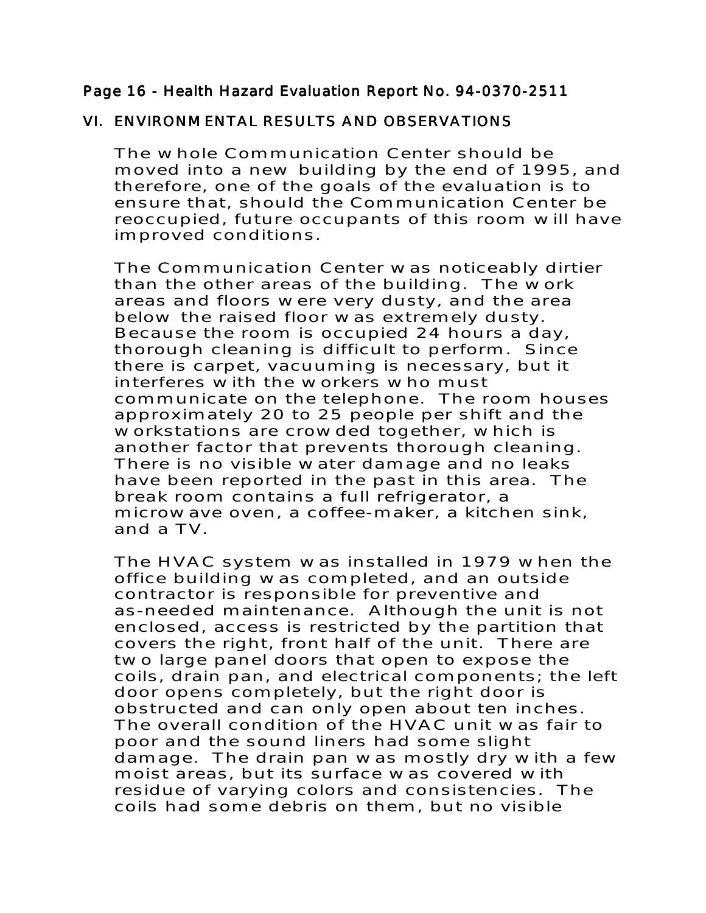## Page 16 - Health Hazard Evaluation Report No. 94-0370-2511

## VI. ENVIRONMENTAL RESULTS AND OBSERVATIONS

The whole Communication Center should be moved into a new building by the end of 1995, and therefore, one of the goals of the evaluation is to ensure that, should the Communication Center be reoccupied, future occupants of this room will have improved conditions.

The Communication Center was noticeably dirtier than the other areas of the building. The work areas and floors were very dusty, and the area below the raised floor was extremely dusty. Because the room is occupied 24 hours a day, thorough cleaning is difficult to perform. Since there is carpet, vacuuming is necessary, but it interferes with the workers who must communicate on the telephone. The room houses approximately 20 to 25 people per shift and the workstations are crowded together, which is another factor that prevents thorough cleaning. There is no visible water damage and no leaks have been reported in the past in this area. The break room contains a full refrigerator, a microwave oven, a coffee-maker, a kitchen sink, and a TV.

The HVAC system was installed in 1979 when the office building was completed, and an outside contractor is responsible for preventive and as-needed maintenance. Although the unit is not enclosed, access is restricted by the partition that covers the right, front half of the unit. There are two large panel doors that open to expose the coils, drain pan, and electrical components; the left door opens completely, but the right door is obstructed and can only open about ten inches. The overall condition of the HVAC unit was fair to poor and the sound liners had some slight damage. The drain pan was mostly dry with a few moist areas, but its surface was covered with residue of varying colors and consistencies. The coils had some debris on them, but no visible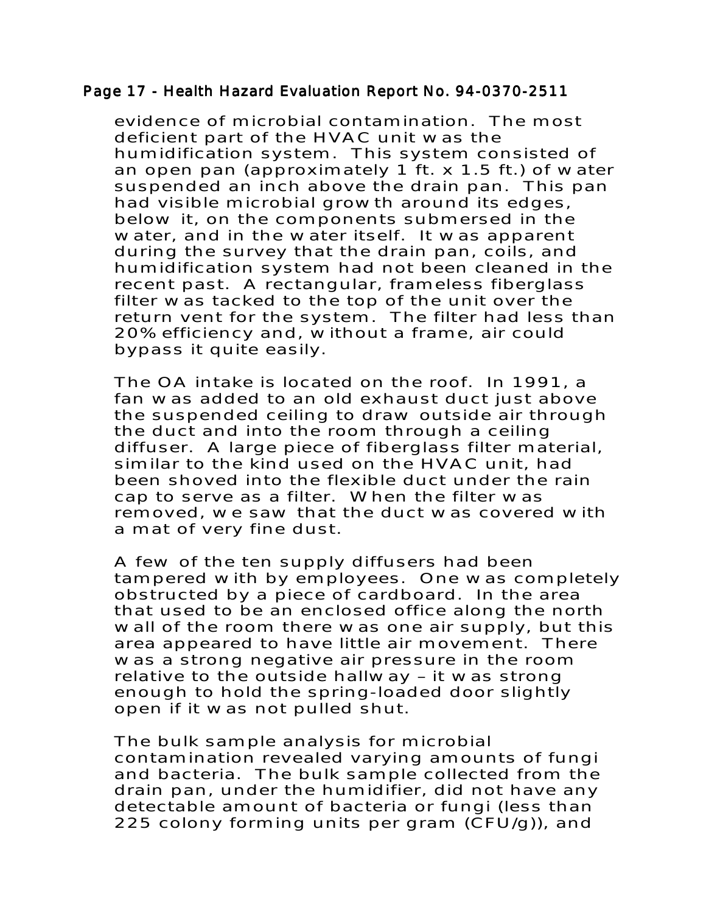#### Page 17 - Health Hazard Evaluation Report No. 94-0370-2511

evidence of microbial contamination. The most deficient part of the HVAC unit was the humidification system. This system consisted of an open pan (approximately 1 ft. x 1.5 ft.) of water suspended an inch above the drain pan. This pan had visible microbial growth around its edges, below it, on the components submersed in the water, and in the water itself. It was apparent during the survey that the drain pan, coils, and humidification system had not been cleaned in the recent past. A rectangular, frameless fiberglass filter was tacked to the top of the unit over the return vent for the system. The filter had less than 20% efficiency and, without a frame, air could bypass it quite easily.

The OA intake is located on the roof. In 1991, a fan was added to an old exhaust duct just above the suspended ceiling to draw outside air through the duct and into the room through a ceiling diffuser. A large piece of fiberglass filter material, similar to the kind used on the HVAC unit, had been shoved into the flexible duct under the rain cap to serve as a filter. When the filter was removed, we saw that the duct was covered with a mat of very fine dust.

A few of the ten supply diffusers had been tampered with by employees. One was completely obstructed by a piece of cardboard. In the area that used to be an enclosed office along the north wall of the room there was one air supply, but this area appeared to have little air movement. There was a strong negative air pressure in the room relative to the outside hallway – it was strong enough to hold the spring-loaded door slightly open if it was not pulled shut.

The bulk sample analysis for microbial contamination revealed varying amounts of fungi and bacteria. The bulk sample collected from the drain pan, under the humidifier, did not have any detectable amount of bacteria or fungi (less than 225 colony forming units per gram (CFU/g)), and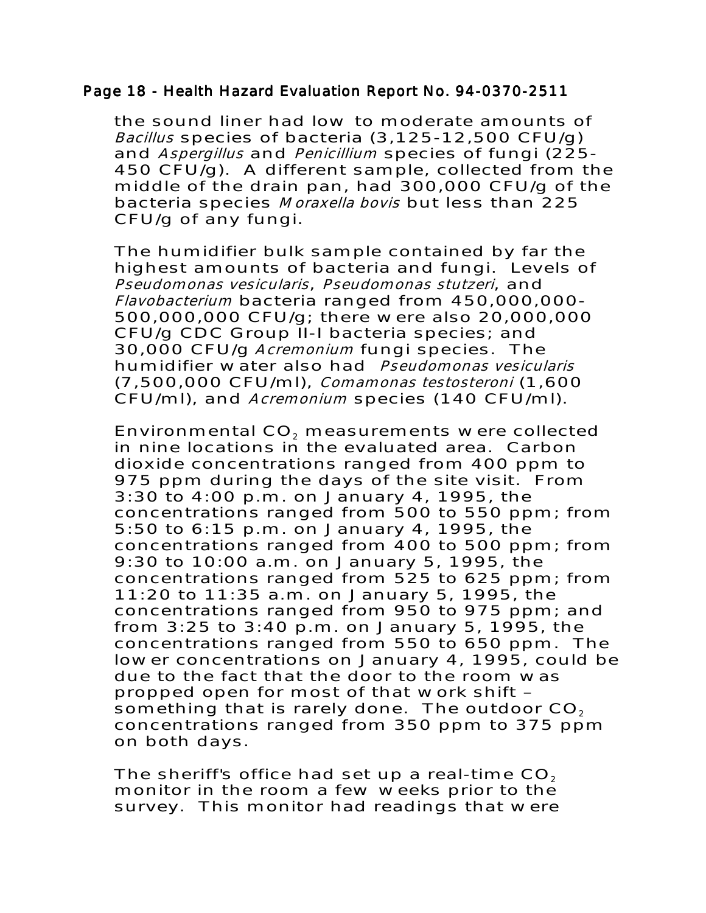#### Page 18 - Health Hazard Evaluation Report No. 94-0370-2511

the sound liner had low to moderate amounts of Bacillus species of bacteria (3,125-12,500 CFU/g) and Aspergillus and Penicillium species of fungi (225-450 CFU/g). A different sample, collected from the middle of the drain pan, had 300,000 CFU/g of the bacteria species Moraxella bovis but less than 225 CFU/g of any fungi.

The humidifier bulk sample contained by far the highest amounts of bacteria and fungi. Levels of Pseudomonas vesicularis, Pseudomonas stutzeri, and Flavobacterium bacteria ranged from 450,000,000- 500,000,000 CFU/g; there were also 20,000,000 CFU/g CDC Group II-I bacteria species; and 30,000 CFU/g Acremonium fungi species. The humidifier water also had Pseudomonas vesicularis (7,500,000 CFU/ml), Comamonas testosteroni (1,600 CFU/ml), and Acremonium species (140 CFU/ml).

Environmental CO<sub>2</sub> measurements were collected in nine locations in the evaluated area. Carbon dioxide concentrations ranged from 400 ppm to 975 ppm during the days of the site visit. From 3:30 to 4:00 p.m. on January 4, 1995, the concentrations ranged from 500 to 550 ppm; from 5:50 to 6:15 p.m. on January 4, 1995, the concentrations ranged from 400 to 500 ppm; from 9:30 to 10:00 a.m. on January 5, 1995, the concentrations ranged from 525 to 625 ppm; from 11:20 to 11:35 a.m. on January 5, 1995, the concentrations ranged from 950 to 975 ppm; and from 3:25 to 3:40 p.m. on January 5, 1995, the concentrations ranged from 550 to 650 ppm. The lower concentrations on January 4, 1995, could be due to the fact that the door to the room was propped open for most of that work shift – something that is rarely done. The outdoor  $CO<sub>2</sub>$ concentrations ranged from 350 ppm to 375 ppm on both days.

The sheriff's office had set up a real-time  $CO<sub>2</sub>$ monitor in the room a few weeks prior to the survey. This monitor had readings that were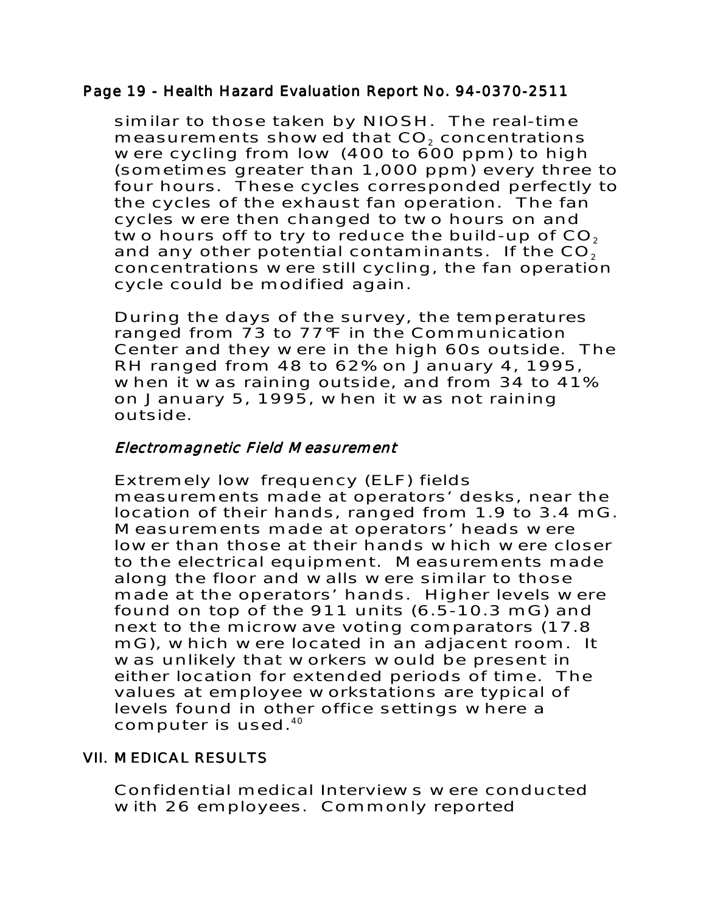## Page 19 - Health Hazard Evaluation Report No. 94-0370-2511

similar to those taken by NIOSH. The real-time measurements showed that CO<sub>2</sub> concentrations were cycling from low (400 to 600 ppm) to high (sometimes greater than 1,000 ppm) every three to four hours. These cycles corresponded perfectly to the cycles of the exhaust fan operation. The fan cycles were then changed to two hours on and two hours off to try to reduce the build-up of  $CO<sub>2</sub>$ and any other potential contaminants. If the  $CO<sub>2</sub>$ concentrations were still cycling, the fan operation cycle could be modified again.

During the days of the survey, the temperatures ranged from 73 to 77°F in the Communication Center and they were in the high 60s outside. The RH ranged from 48 to 62% on January 4, 1995, when it was raining outside, and from 34 to 41% on January 5, 1995, when it was not raining outside.

# Electromagnetic Field Measurement

Extremely low frequency (ELF) fields measurements made at operators' desks, near the location of their hands, ranged from 1.9 to 3.4 mG. Measurements made at operators' heads were lower than those at their hands which were closer to the electrical equipment. Measurements made along the floor and walls were similar to those made at the operators' hands. Higher levels were found on top of the 911 units (6.5-10.3 mG) and next to the microwave voting comparators (17.8 mG), which were located in an adjacent room. It was unlikely that workers would be present in either location for extended periods of time. The values at employee workstations are typical of levels found in other office settings where a computer is used.40

# **VII. MEDICAL RESULTS**

Confidential medical Interviews were conducted with 26 employees. Commonly reported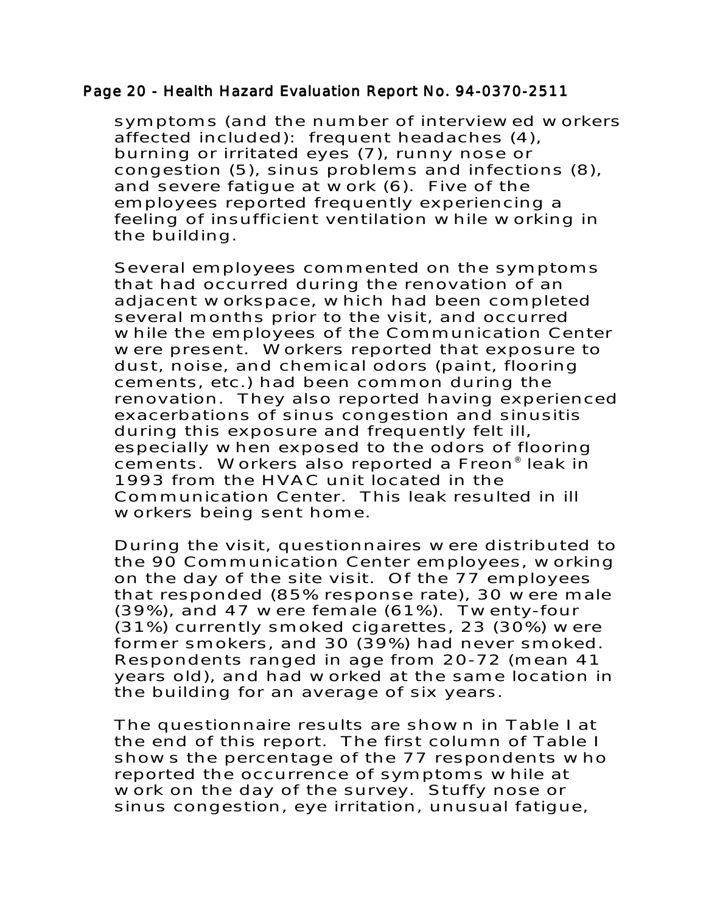#### Page 20 - Health Hazard Evaluation Report No. 94-0370-2511

symptoms (and the number of interviewed workers affected included): frequent headaches (4), burning or irritated eyes (7), runny nose or congestion (5), sinus problems and infections (8), and severe fatigue at work (6). Five of the employees reported frequently experiencing a feeling of insufficient ventilation while working in the building.

Several employees commented on the symptoms that had occurred during the renovation of an adjacent workspace, which had been completed several months prior to the visit, and occurred while the employees of the Communication Center were present. Workers reported that exposure to dust, noise, and chemical odors (paint, flooring cements, etc.) had been common during the renovation. They also reported having experienced exacerbations of sinus congestion and sinusitis during this exposure and frequently felt ill, especially when exposed to the odors of flooring cements. Workers also reported a Freon® leak in 1993 from the HVAC unit located in the Communication Center. This leak resulted in ill workers being sent home.

During the visit, questionnaires were distributed to the 90 Communication Center employees, working on the day of the site visit. Of the 77 employees that responded (85% response rate), 30 were male (39%), and 47 were female (61%). Twenty-four (31%) currently smoked cigarettes, 23 (30%) were former smokers, and 30 (39%) had never smoked. Respondents ranged in age from 20-72 (mean 41 years old), and had worked at the same location in the building for an average of six years.

The questionnaire results are shown in Table I at the end of this report. The first column of Table I shows the percentage of the 77 respondents who reported the occurrence of symptoms while at work on the day of the survey. Stuffy nose or sinus congestion, eye irritation, unusual fatigue,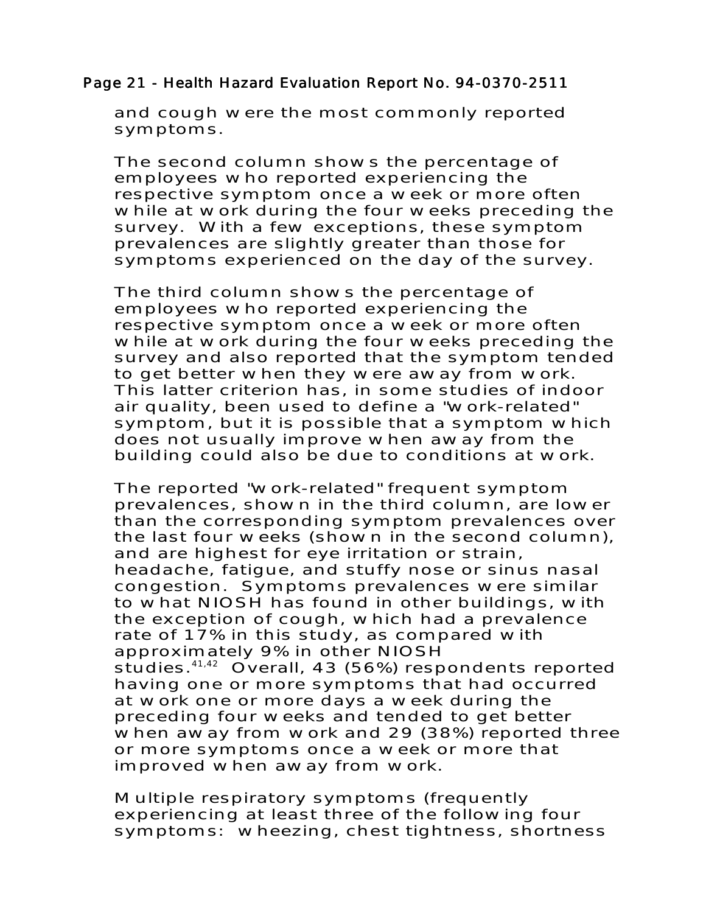# Page 21 - Health Hazard Evaluation Report No. 94-0370-2511

and cough were the most commonly reported symptoms.

The second column shows the percentage of employees who reported experiencing the respective symptom once a week or more often while at work during the four weeks preceding the survey. With a few exceptions, these symptom prevalences are slightly greater than those for symptoms experienced on the day of the survey.

The third column shows the percentage of employees who reported experiencing the respective symptom once a week or more often while at work during the four weeks preceding the survey and also reported that the symptom tended to get better when they were away from work. This latter criterion has, in some studies of indoor air quality, been used to define a "work-related" symptom, but it is possible that a symptom which does not usually improve when away from the building could also be due to conditions at work.

The reported "work-related" frequent symptom prevalences, shown in the third column, are lower than the corresponding symptom prevalences over the last four weeks (shown in the second column), and are highest for eye irritation or strain, headache, fatigue, and stuffy nose or sinus nasal congestion. Symptoms prevalences were similar to what NIOSH has found in other buildings, with the exception of cough, which had a prevalence rate of 17% in this study, as compared with approximately 9% in other NIOSH studies.<sup>41,42</sup> Overall, 43 (56%) respondents reported having one or more symptoms that had occurred at work one or more days a week during the preceding four weeks and tended to get better when away from work and 29 (38%) reported three or more symptoms once a week or more that improved when away from work.

Multiple respiratory symptoms (frequently experiencing at least three of the following four symptoms: wheezing, chest tightness, shortness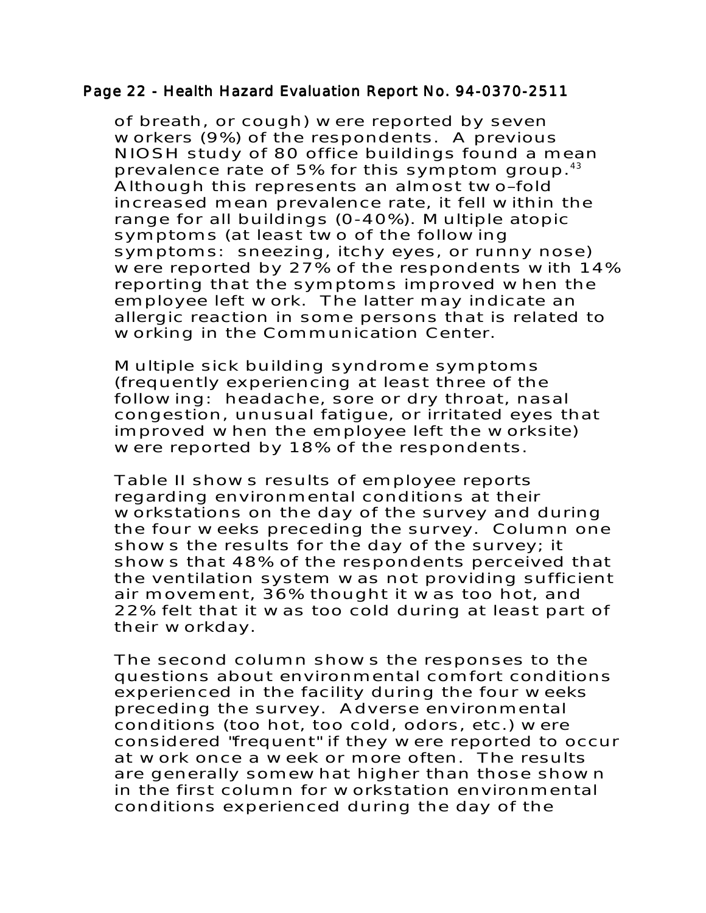#### Page 22 - Health Hazard Evaluation Report No. 94-0370-2511

of breath, or cough) were reported by seven workers (9%) of the respondents. A previous NIOSH study of 80 office buildings found a mean prevalence rate of 5% for this symptom group.<sup>43</sup> Although this represents an almost two–fold increased mean prevalence rate, it fell within the range for all buildings (0-40%). Multiple atopic symptoms (at least two of the following symptoms: sneezing, itchy eyes, or runny nose) were reported by 27% of the respondents with 14% reporting that the symptoms improved when the employee left work. The latter may indicate an allergic reaction in some persons that is related to working in the Communication Center.

Multiple sick building syndrome symptoms (frequently experiencing at least three of the following: headache, sore or dry throat, nasal congestion, unusual fatigue, or irritated eyes that improved when the employee left the worksite) were reported by 18% of the respondents.

Table II shows results of employee reports regarding environmental conditions at their workstations on the day of the survey and during the four weeks preceding the survey. Column one shows the results for the day of the survey; it shows that 48% of the respondents perceived that the ventilation system was not providing sufficient air movement, 36% thought it was too hot, and 22% felt that it was too cold during at least part of their workday.

The second column shows the responses to the questions about environmental comfort conditions experienced in the facility during the four weeks preceding the survey. Adverse environmental conditions (too hot, too cold, odors, etc.) were considered "frequent" if they were reported to occur at work once a week or more often. The results are generally somewhat higher than those shown in the first column for workstation environmental conditions experienced during the day of the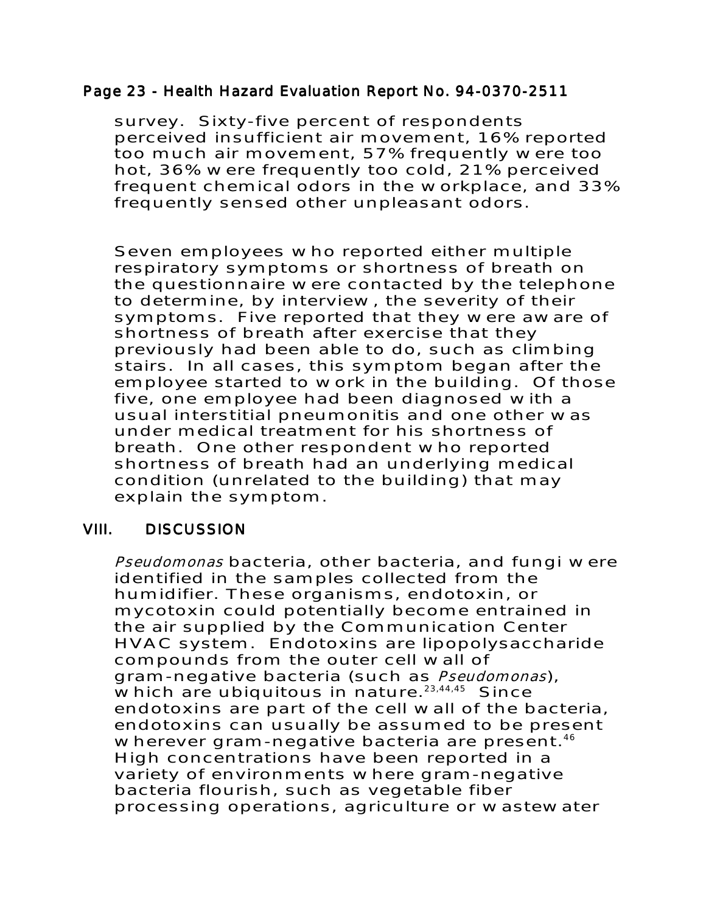## Page 23 - Health Hazard Evaluation Report No. 94-0370-2511

survey. Sixty-five percent of respondents perceived insufficient air movement, 16% reported too much air movement, 57% frequently were too hot, 36% were frequently too cold, 21% perceived frequent chemical odors in the workplace, and 33% frequently sensed other unpleasant odors.

Seven employees who reported either multiple respiratory symptoms or shortness of breath on the questionnaire were contacted by the telephone to determine, by interview, the severity of their symptoms. Five reported that they were aware of shortness of breath after exercise that they previously had been able to do, such as climbing stairs. In all cases, this symptom began after the employee started to work in the building. Of those five, one employee had been diagnosed with a usual interstitial pneumonitis and one other was under medical treatment for his shortness of breath. One other respondent who reported shortness of breath had an underlying medical condition (unrelated to the building) that may explain the symptom.

# VIII. DISCUSSION VIII. DISCUSSION

Pseudomonas bacteria, other bacteria, and fungi were identified in the samples collected from the humidifier. These organisms, endotoxin, or mycotoxin could potentially become entrained in the air supplied by the Communication Center HVAC system. Endotoxins are lipopolysaccharide compounds from the outer cell wall of gram-negative bacteria (such as Pseudomonas), which are ubiquitous in nature. $23,44,45$  Since endotoxins are part of the cell wall of the bacteria, endotoxins can usually be assumed to be present wherever gram-negative bacteria are present.<sup>46</sup> High concentrations have been reported in a variety of environments where gram-negative bacteria flourish, such as vegetable fiber processing operations, agriculture or wastewater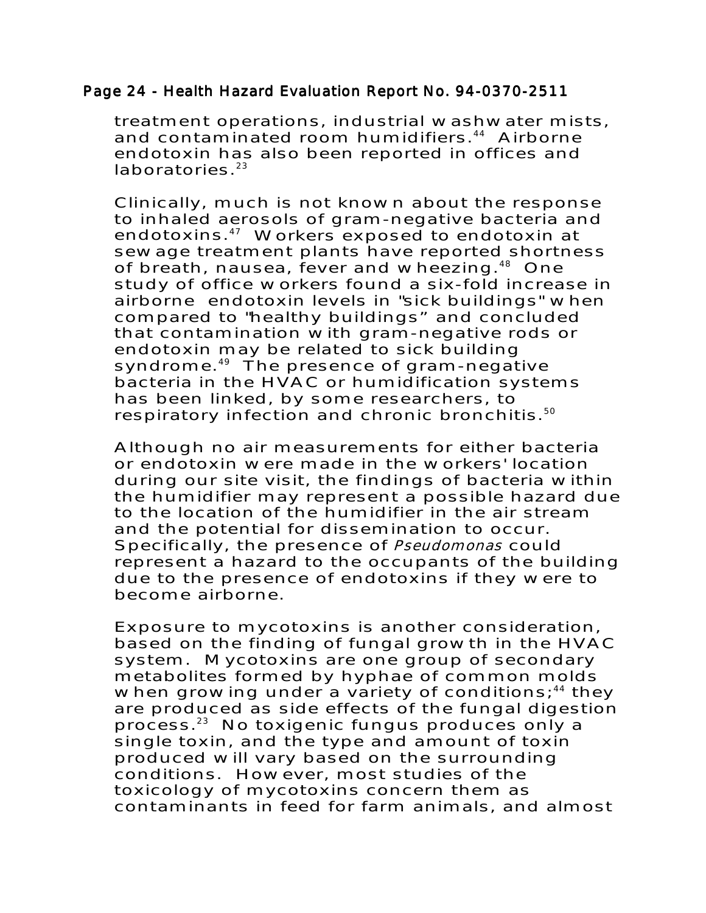#### Page 24 - Health Hazard Evaluation Report No. 94-0370-2511

treatment operations, industrial washwater mists, and contaminated room humidifiers.<sup>44</sup> Airborne endotoxin has also been reported in offices and  $laboratories.<sup>23</sup>$ 

Clinically, much is not known about the response to inhaled aerosols of gram-negative bacteria and endotoxins.47 Workers exposed to endotoxin at sewage treatment plants have reported shortness of breath, nausea, fever and wheezing.<sup>48</sup> One study of office workers found a six-fold increase in airborne endotoxin levels in "sick buildings" when compared to "healthy buildings" and concluded that contamination with gram-negative rods or endotoxin may be related to sick building syndrome.<sup>49</sup> The presence of gram-negative bacteria in the HVAC or humidification systems has been linked, by some researchers, to respiratory infection and chronic bronchitis.<sup>50</sup>

Although no air measurements for either bacteria or endotoxin were made in the workers' location during our site visit, the findings of bacteria within the humidifier may represent a possible hazard due to the location of the humidifier in the air stream and the potential for dissemination to occur. Specifically, the presence of Pseudomonas could represent a hazard to the occupants of the building due to the presence of endotoxins if they were to become airborne.

Exposure to mycotoxins is another consideration, based on the finding of fungal growth in the HVAC system. Mycotoxins are one group of secondary metabolites formed by hyphae of common molds when growing under a variety of conditions;<sup>44</sup> they are produced as side effects of the fungal digestion process.23 No toxigenic fungus produces only a single toxin, and the type and amount of toxin produced will vary based on the surrounding conditions. However, most studies of the toxicology of mycotoxins concern them as contaminants in feed for farm animals, and almost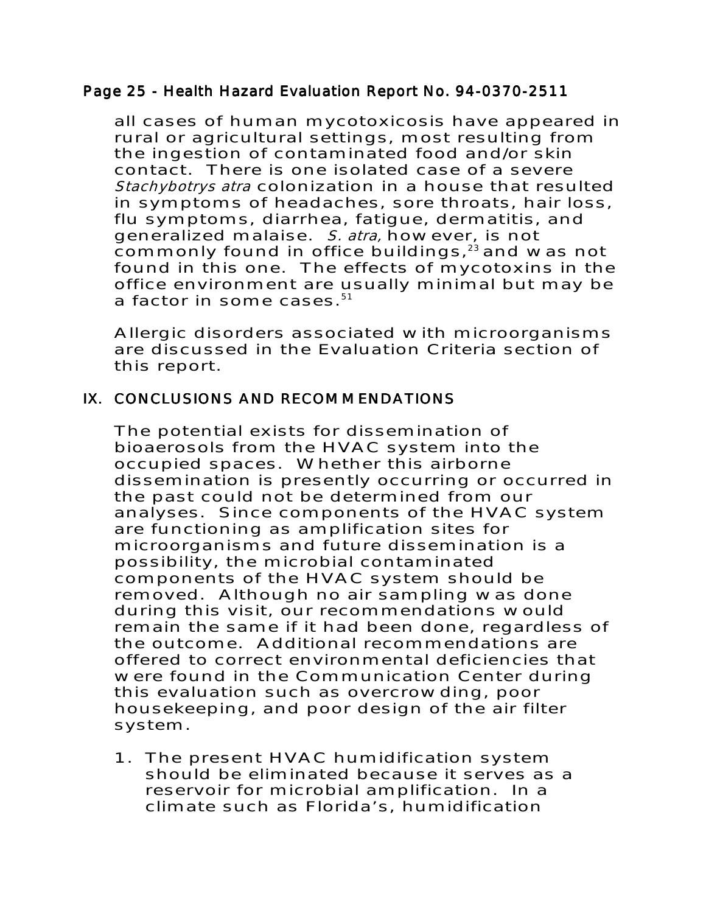## Page 25 - Health Hazard Evaluation Report No. 94-0370-2511

all cases of human mycotoxicosis have appeared in rural or agricultural settings, most resulting from the ingestion of contaminated food and/or skin contact. There is one isolated case of a severe Stachybotrys atra colonization in a house that resulted in symptoms of headaches, sore throats, hair loss, flu symptoms, diarrhea, fatigue, dermatitis, and generalized malaise. S. atra, however, is not commonly found in office buildings, $23$  and was not found in this one. The effects of mycotoxins in the office environment are usually minimal but may be a factor in some cases. $51$ 

Allergic disorders associated with microorganisms are discussed in the Evaluation Criteria section of this report.

# IX. CONCLUSIONS AND RECOMMENDATIONS

The potential exists for dissemination of bioaerosols from the HVAC system into the occupied spaces. Whether this airborne dissemination is presently occurring or occurred in the past could not be determined from our analyses. Since components of the HVAC system are functioning as amplification sites for microorganisms and future dissemination is a possibility, the microbial contaminated components of the HVAC system should be removed. Although no air sampling was done during this visit, our recommendations would remain the same if it had been done, regardless of the outcome. Additional recommendations are offered to correct environmental deficiencies that were found in the Communication Center during this evaluation such as overcrowding, poor housekeeping, and poor design of the air filter system.

1. The present HVAC humidification system should be eliminated because it serves as a reservoir for microbial amplification. In a climate such as Florida's, humidification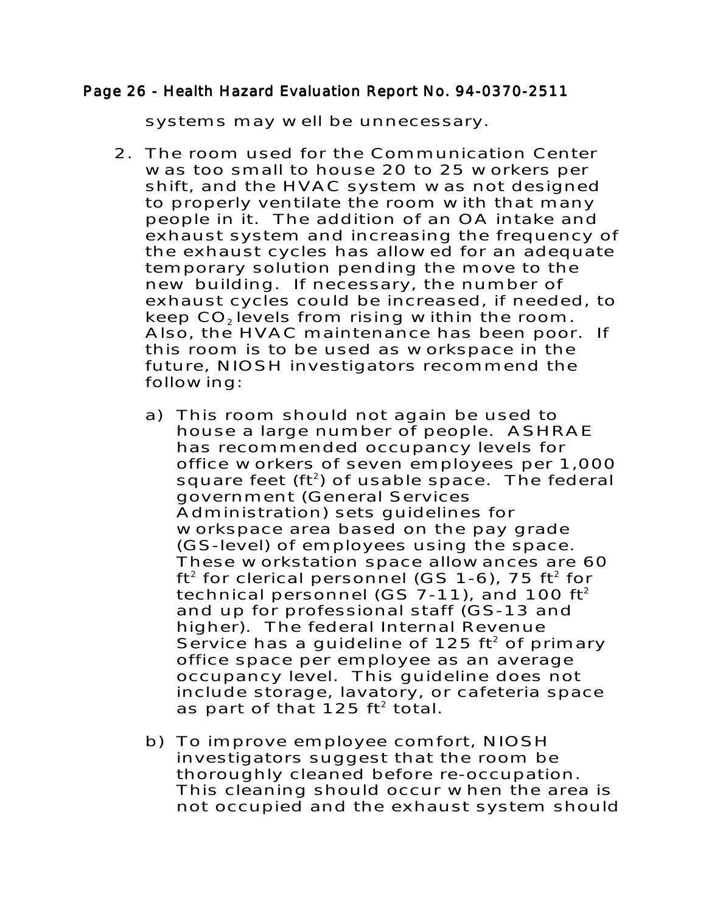#### Page 26 - Health Hazard Evaluation Report No. 94-0370-2511

systems may well be unnecessary.

- 2. The room used for the Communication Center was too small to house 20 to 25 workers per shift, and the HVAC system was not designed to properly ventilate the room with that many people in it. The addition of an OA intake and exhaust system and increasing the frequency of the exhaust cycles has allowed for an adequate temporary solution pending the move to the new building. If necessary, the number of exhaust cycles could be increased, if needed, to keep CO<sub>2</sub> levels from rising within the room. Also, the HVAC maintenance has been poor. If this room is to be used as workspace in the future, NIOSH investigators recommend the following:
	- a) This room should not again be used to house a large number of people. ASHRAE has recommended occupancy levels for office workers of seven employees per 1,000 square feet ( $ft^2$ ) of usable space. The federal government (General Services Administration) sets guidelines for workspace area based on the pay grade (GS-level) of employees using the space. These workstation space allowances are 60  $ft<sup>2</sup>$  for clerical personnel (GS 1-6), 75  $ft<sup>2</sup>$  for technical personnel (GS 7-11), and 100 ft<sup>2</sup> and up for professional staff (GS-13 and higher). The federal Internal Revenue Service has a guideline of 125  $ft^2$  of primary office space per employee as an average occupancy level. This guideline does not include storage, lavatory, or cafeteria space as part of that 125  $ft^2$  total.
	- b) To improve employee comfort, NIOSH investigators suggest that the room be thoroughly cleaned before re-occupation. This cleaning should occur when the area is not occupied and the exhaust system should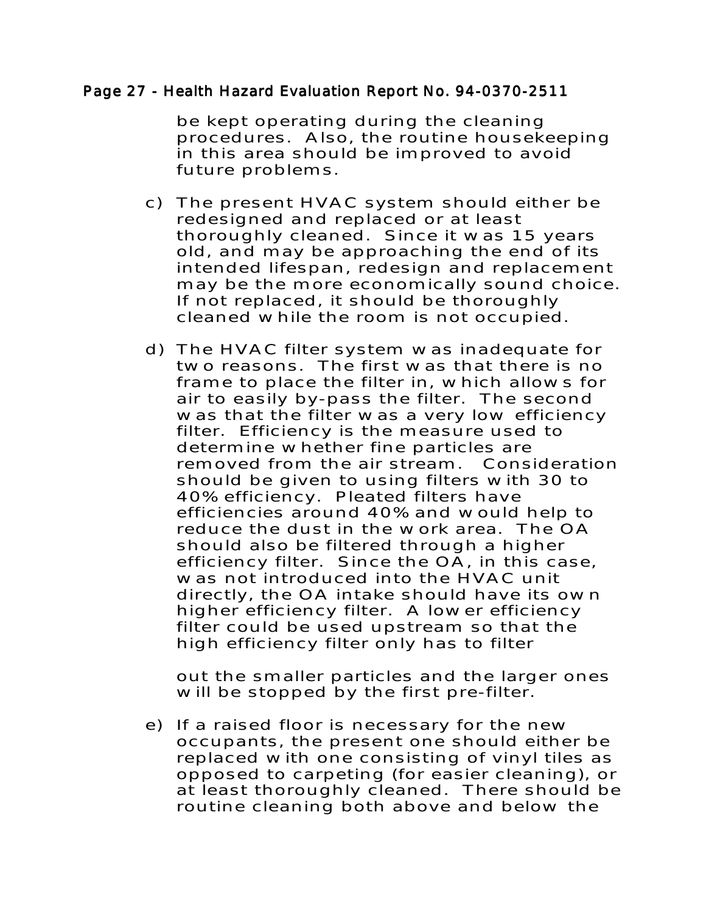#### Page 27 - Health Hazard Evaluation Report No. 94-0370-2511

be kept operating during the cleaning procedures. Also, the routine housekeeping in this area should be improved to avoid future problems.

- c) The present HVAC system should either be redesigned and replaced or at least thoroughly cleaned. Since it was 15 years old, and may be approaching the end of its intended lifespan, redesign and replacement may be the more economically sound choice. If not replaced, it should be thoroughly cleaned while the room is not occupied.
- d) The HVAC filter system was inadequate for two reasons. The first was that there is no frame to place the filter in, which allows for air to easily by-pass the filter. The second was that the filter was a very low efficiency filter. Efficiency is the measure used to determine whether fine particles are removed from the air stream. Consideration should be given to using filters with 30 to 40% efficiency. Pleated filters have efficiencies around 40% and would help to reduce the dust in the work area. The OA should also be filtered through a higher efficiency filter. Since the OA, in this case, was not introduced into the HVAC unit directly, the OA intake should have its own higher efficiency filter. A lower efficiency filter could be used upstream so that the high efficiency filter only has to filter

out the smaller particles and the larger ones will be stopped by the first pre-filter.

e) If a raised floor is necessary for the new occupants, the present one should either be replaced with one consisting of vinyl tiles as opposed to carpeting (for easier cleaning), or at least thoroughly cleaned. There should be routine cleaning both above and below the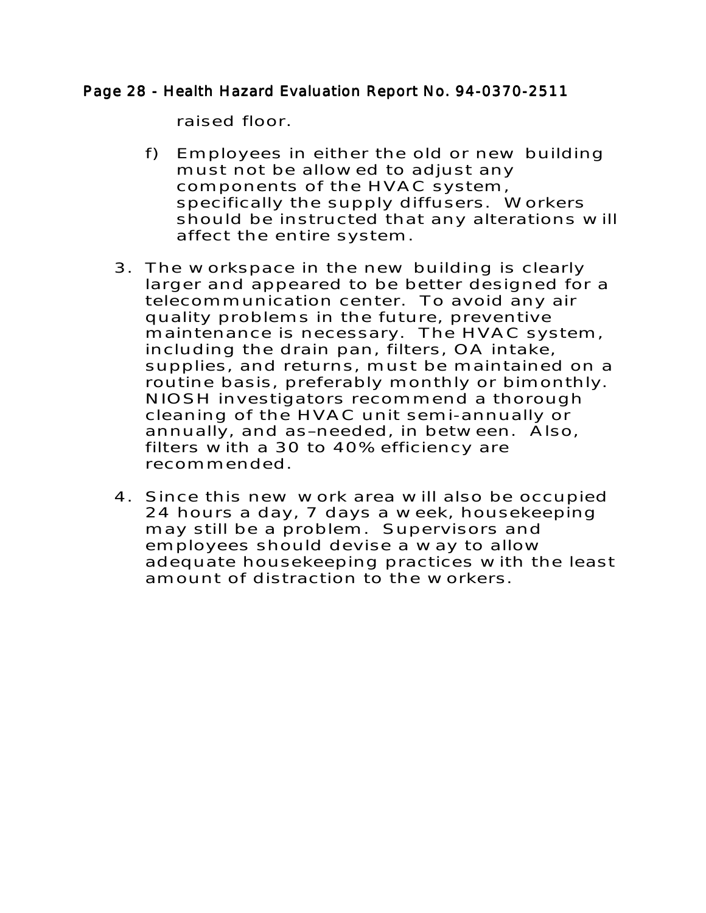## Page 28 - Health Hazard Evaluation Report No. 94-0370-2511

raised floor.

- f) Employees in either the old or new building must not be allowed to adjust any components of the HVAC system, specifically the supply diffusers. Workers should be instructed that any alterations will affect the entire system.
- 3. The workspace in the new building is clearly larger and appeared to be better designed for a telecommunication center. To avoid any air quality problems in the future, preventive maintenance is necessary. The HVAC system, including the drain pan, filters, OA intake, supplies, and returns, must be maintained on a routine basis, preferably monthly or bimonthly. NIOSH investigators recommend a thorough cleaning of the HVAC unit semi-annually or annually, and as–needed, in between. Also, filters with a 30 to 40% efficiency are recommended.
- 4. Since this new work area will also be occupied 24 hours a day, 7 days a week, housekeeping may still be a problem. Supervisors and employees should devise a way to allow adequate housekeeping practices with the least amount of distraction to the workers.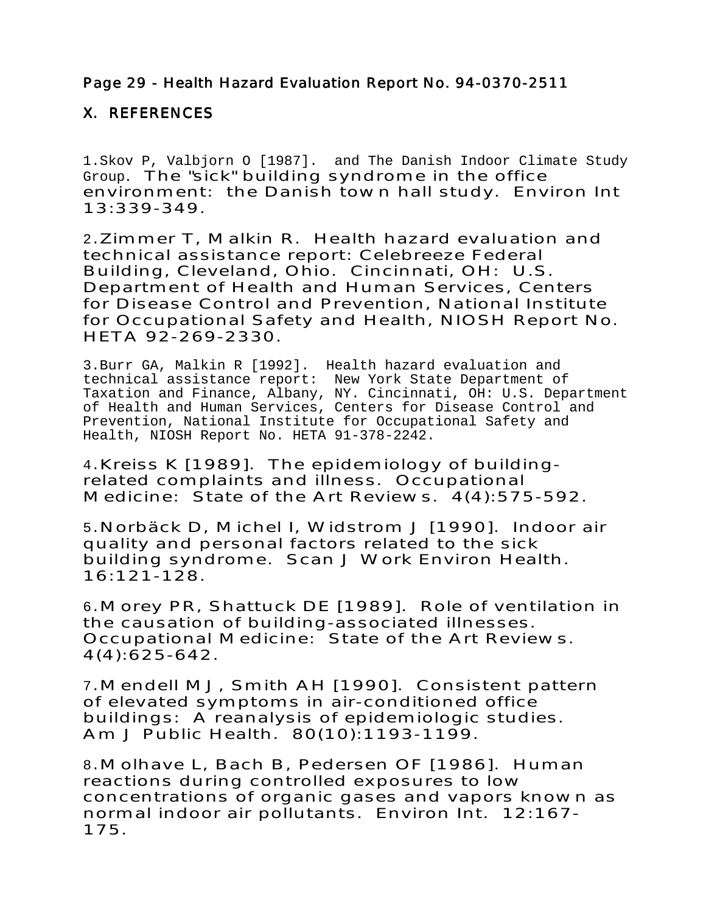# Page 29 - Health Hazard Evaluation Report No. 94-0370-2511

# X. REFERENCES

1.Skov P, Valbjorn O [1987]. and The Danish Indoor Climate Study Group. The "sick" building syndrome in the office environment: the Danish town hall study. Environ Int 13:339-349.

2.Zimmer T, Malkin R. Health hazard evaluation and technical assistance report: Celebreeze Federal Building, Cleveland, Ohio. Cincinnati, OH: U.S. Department of Health and Human Services, Centers for Disease Control and Prevention, National Institute for Occupational Safety and Health, NIOSH Report No. HETA 92-269-2330.

3.Burr GA, Malkin R [1992]. Health hazard evaluation and technical assistance report: New York State Department of Taxation and Finance, Albany, NY. Cincinnati, OH: U.S. Department of Health and Human Services, Centers for Disease Control and Prevention, National Institute for Occupational Safety and Health, NIOSH Report No. HETA 91-378-2242.

4.Kreiss K [1989]. The epidemiology of buildingrelated complaints and illness. Occupational Medicine: State of the Art Reviews. 4(4):575-592.

5.Norbäck D, Michel I, Widstrom J [1990]. Indoor air quality and personal factors related to the sick building syndrome. Scan J Work Environ Health. 16:121-128.

6.Morey PR, Shattuck DE [1989]. Role of ventilation in the causation of building-associated illnesses. Occupational Medicine: State of the Art Reviews. 4(4):625-642.

7.Mendell MJ, Smith AH [1990]. Consistent pattern of elevated symptoms in air-conditioned office buildings: A reanalysis of epidemiologic studies. Am J Public Health. 80(10):1193-1199.

8.Molhave L, Bach B, Pedersen OF [1986]. Human reactions during controlled exposures to low concentrations of organic gases and vapors known as normal indoor air pollutants. Environ Int. 12:167- 175.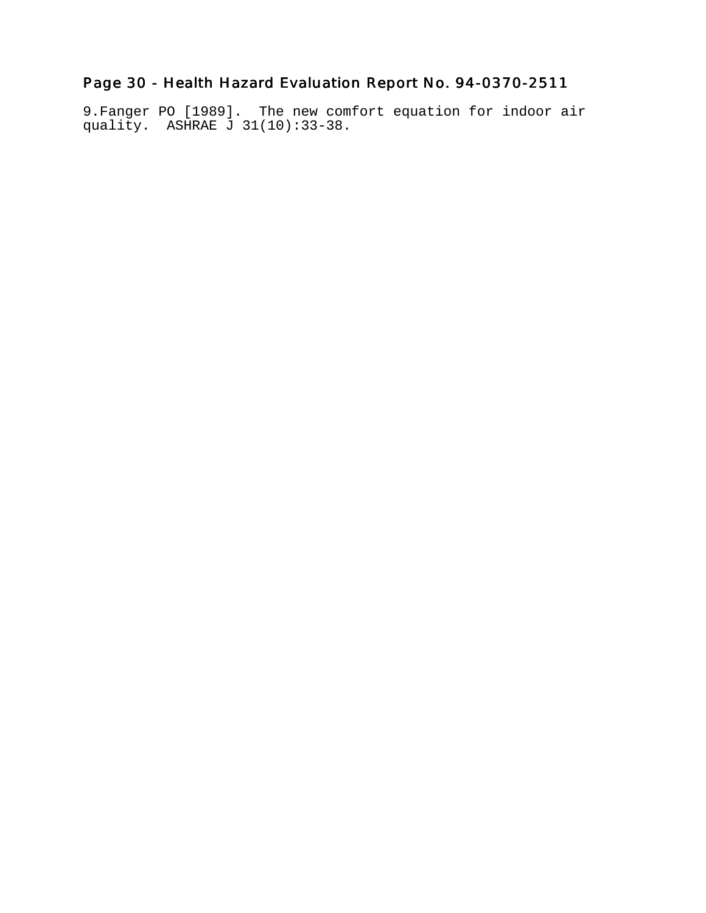# Page 30 - Health Hazard Evaluation Report No. 94-0370-2511

9.Fanger PO [1989]. The new comfort equation for indoor air quality. ASHRAE J 31(10):33-38.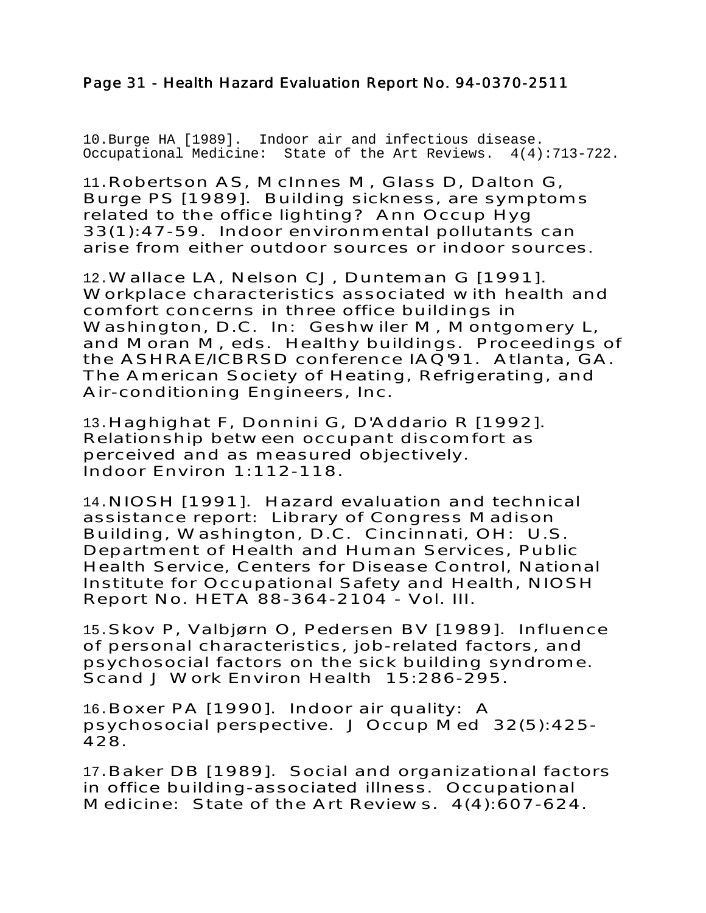# Page 31 - Health Hazard Evaluation Report No. 94-0370-2511

10.Burge HA [1989]. Indoor air and infectious disease. Occupational Medicine: State of the Art Reviews. 4(4):713-722.

11.Robertson AS, McInnes M, Glass D, Dalton G, Burge PS [1989]. Building sickness, are symptoms related to the office lighting? Ann Occup Hyg 33(1):47-59. Indoor environmental pollutants can arise from either outdoor sources or indoor sources.

12.Wallace LA, Nelson CJ, Dunteman G [1991]. Workplace characteristics associated with health and comfort concerns in three office buildings in Washington, D.C. In: Geshwiler M, Montgomery L, and Moran M, eds. Healthy buildings. Proceedings of the ASHRAE/ICBRSD conference IAQ'91. Atlanta, GA. The American Society of Heating, Refrigerating, and Air-conditioning Engineers, Inc.

13.Haghighat F, Donnini G, D'Addario R [1992]. Relationship between occupant discomfort as perceived and as measured objectively. Indoor Environ 1:112-118.

14.NIOSH [1991]. Hazard evaluation and technical assistance report: Library of Congress Madison Building, Washington, D.C. Cincinnati, OH: U.S. Department of Health and Human Services, Public Health Service, Centers for Disease Control, National Institute for Occupational Safety and Health, NIOSH Report No. HETA 88-364-2104 - Vol. III.

15.Skov P, Valbjørn O, Pedersen BV [1989]. Influence of personal characteristics, job-related factors, and psychosocial factors on the sick building syndrome. Scand J Work Environ Health 15:286-295.

16.Boxer PA [1990]. Indoor air quality: A psychosocial perspective. J Occup Med 32(5):425- 428.

17.Baker DB [1989]. Social and organizational factors in office building-associated illness. Occupational Medicine: State of the Art Reviews. 4(4):607-624.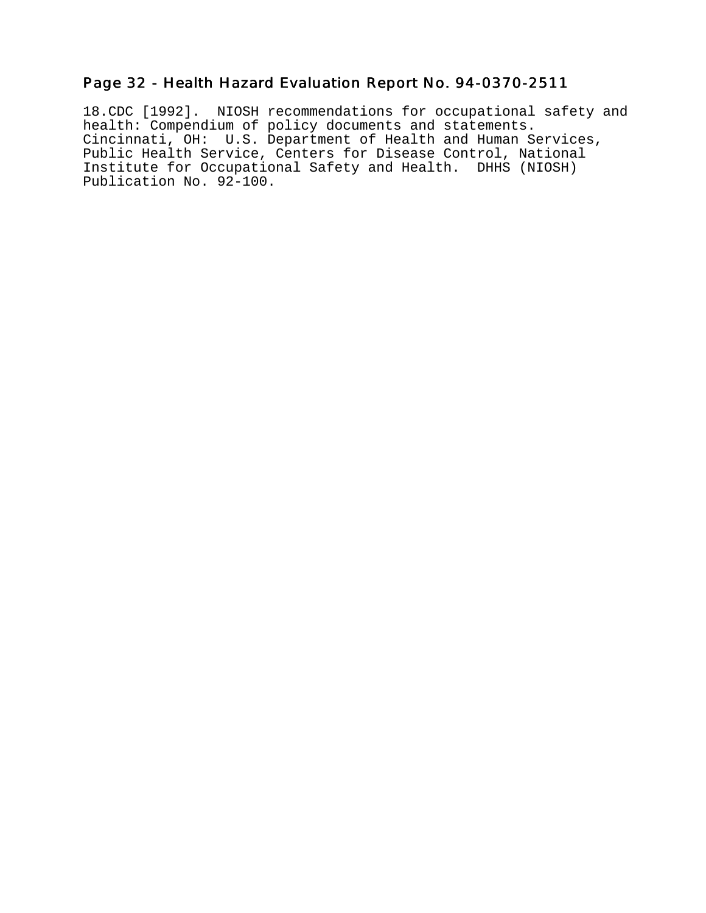## Page 32 - Health Hazard Evaluation Report No. 94-0370-2511

18.CDC [1992]. NIOSH recommendations for occupational safety and health: Compendium of policy documents and statements. Cincinnati, OH: U.S. Department of Health and Human Services, Public Health Service, Centers for Disease Control, National Institute for Occupational Safety and Health. DHHS (NIOSH) Publication No. 92-100.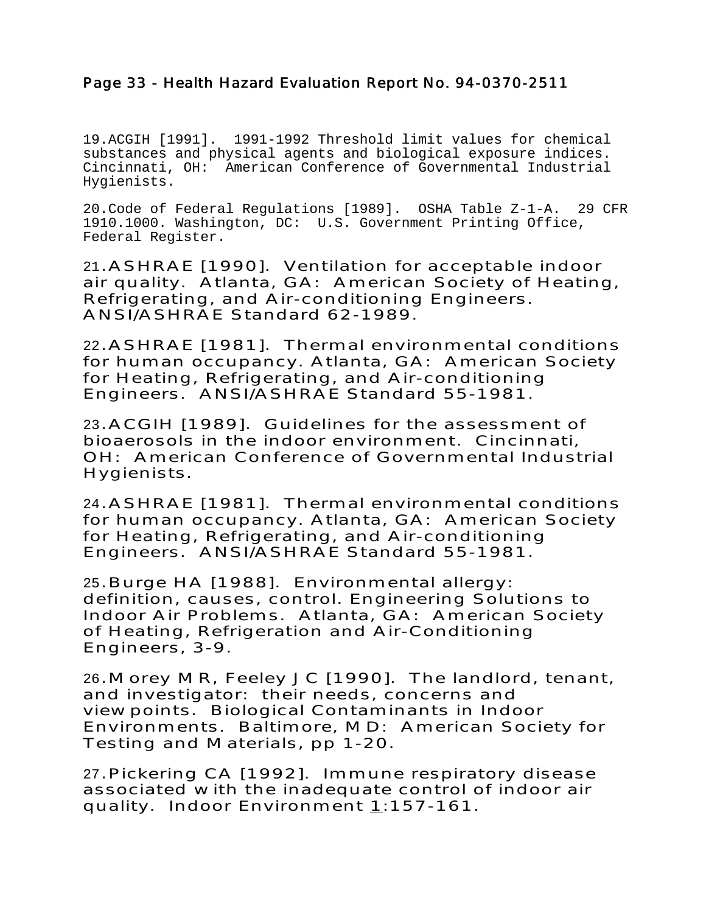# Page 33 - Health Hazard Evaluation Report No. 94-0370-2511

19.ACGIH [1991]. 1991-1992 Threshold limit values for chemical substances and physical agents and biological exposure indices. Cincinnati, OH: American Conference of Governmental Industrial Hygienists.

20.Code of Federal Regulations [1989]. OSHA Table Z-1-A. 29 CFR 1910.1000. Washington, DC: U.S. Government Printing Office, Federal Register.

21.ASHRAE [1990]. Ventilation for acceptable indoor air quality. Atlanta, GA: American Society of Heating, Refrigerating, and Air-conditioning Engineers. ANSI/ASHRAE Standard 62-1989.

22.ASHRAE [1981]. Thermal environmental conditions for human occupancy. Atlanta, GA: American Society for Heating, Refrigerating, and Air-conditioning Engineers. ANSI/ASHRAE Standard 55-1981.

23.ACGIH [1989]. Guidelines for the assessment of bioaerosols in the indoor environment. Cincinnati, OH: American Conference of Governmental Industrial Hygienists.

24.ASHRAE [1981]. Thermal environmental conditions for human occupancy. Atlanta, GA: American Society for Heating, Refrigerating, and Air-conditioning Engineers. ANSI/ASHRAE Standard 55-1981.

25.Burge HA [1988]. Environmental allergy: definition, causes, control. Engineering Solutions to Indoor Air Problems. Atlanta, GA: American Society of Heating, Refrigeration and Air-Conditioning Engineers, 3-9.

26.Morey MR, Feeley JC [1990]. The landlord, tenant, and investigator: their needs, concerns and viewpoints. Biological Contaminants in Indoor Environments. Baltimore, MD: American Society for Testing and Materials, pp 1-20.

27.Pickering CA [1992]. Immune respiratory disease associated with the inadequate control of indoor air quality. Indoor Environment 1:157-161.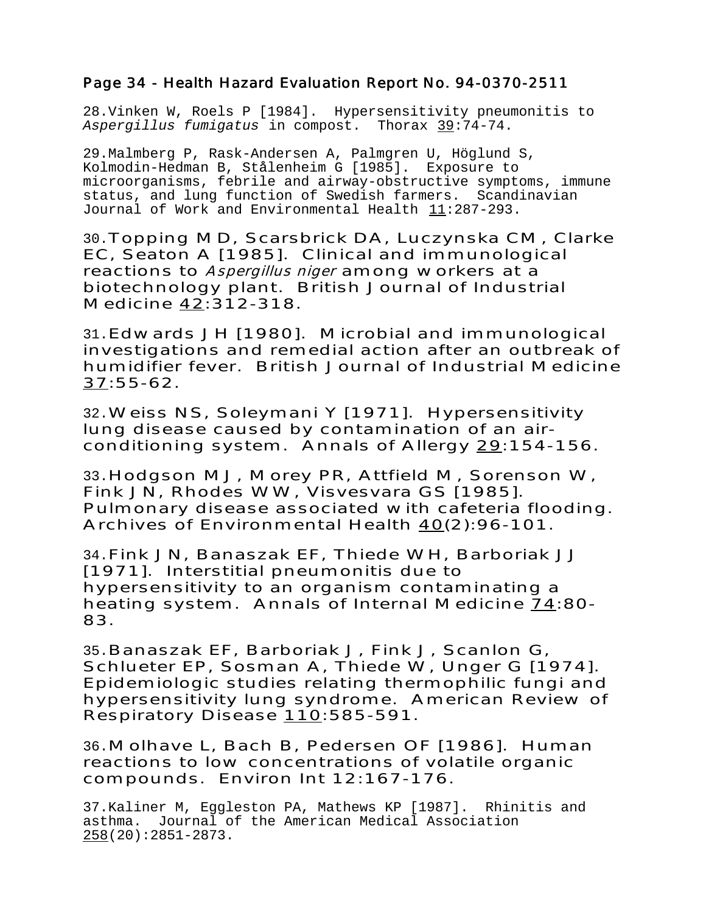#### Page 34 - Health Hazard Evaluation Report No. 94-0370-2511

28.Vinken W, Roels P [1984]. Hypersensitivity pneumonitis to Aspergillus fumigatus in compost. Thorax 39:74-74.

29.Malmberg P, Rask-Andersen A, Palmgren U, Höglund S, Kolmodin-Hedman B, Stålenheim G [1985]. Exposure to microorganisms, febrile and airway-obstructive symptoms, immune status, and lung function of Swedish farmers. Scandinavian Journal of Work and Environmental Health  $11:287-293$ .

30.Topping MD, Scarsbrick DA, Luczynska CM, Clarke EC, Seaton A [1985]. Clinical and immunological reactions to Aspergillus niger among workers at a biotechnology plant. British Journal of Industrial Medicine 42:312-318.

31.Edwards JH [1980]. Microbial and immunological investigations and remedial action after an outbreak of humidifier fever. British Journal of Industrial Medicine 37:55-62.

32.Weiss NS, Soleymani Y [1971]. Hypersensitivity lung disease caused by contamination of an airconditioning system. Annals of Allergy 29:154-156.

33.Hodgson MJ, Morey PR, Attfield M, Sorenson W, Fink JN, Rhodes WW, Visvesvara GS [1985]. Pulmonary disease associated with cafeteria flooding. Archives of Environmental Health  $40(2)$ :96-101.

34.Fink JN, Banaszak EF, Thiede WH, Barboriak JJ [1971]. Interstitial pneumonitis due to hypersensitivity to an organism contaminating a heating system. Annals of Internal Medicine 74:80- 83.

35.Banaszak EF, Barboriak J, Fink J, Scanlon G, Schlueter EP, Sosman A, Thiede W, Unger G [1974]. Epidemiologic studies relating thermophilic fungi and hypersensitivity lung syndrome. American Review of Respiratory Disease 110:585-591.

36.Molhave L, Bach B, Pedersen OF [1986]. Human reactions to low concentrations of volatile organic compounds. Environ Int 12:167-176.

37.Kaliner M, Eggleston PA, Mathews KP [1987]. Rhinitis and asthma. Journal of the American Medical Association 258(20):2851-2873.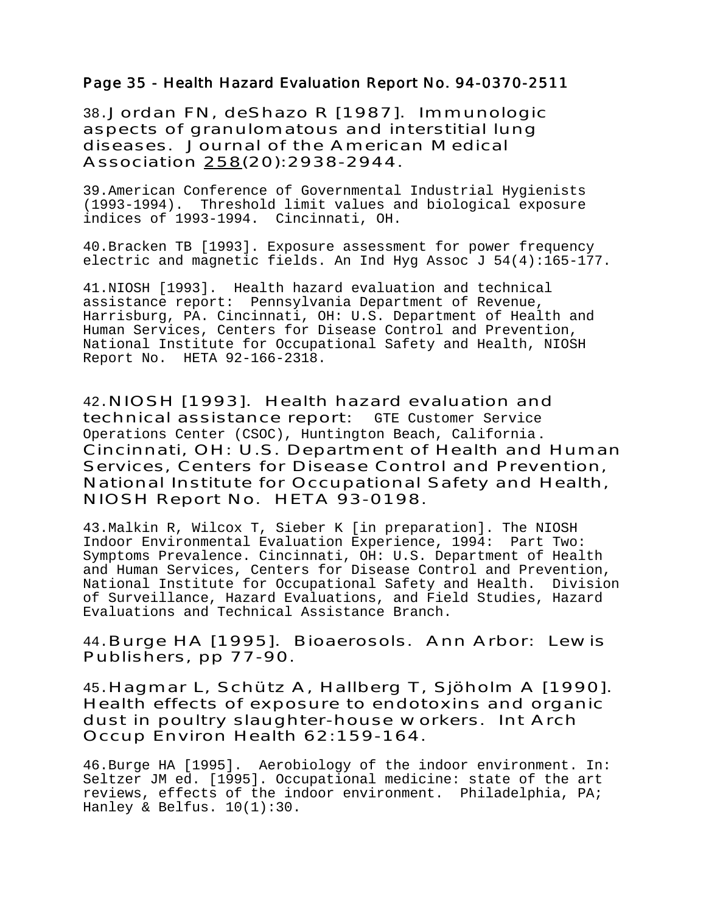#### Page 35 - Health Hazard Evaluation Report No. 94-0370-2511

38.Jordan FN, deShazo R [1987]. Immunologic aspects of granulomatous and interstitial lung diseases. Journal of the American Medical Association 258(20):2938-2944.

39.American Conference of Governmental Industrial Hygienists (1993-1994). Threshold limit values and biological exposure indices of 1993-1994. Cincinnati, OH.

40.Bracken TB [1993]. Exposure assessment for power frequency electric and magnetic fields. An Ind Hyg Assoc J 54(4):165-177.

41.NIOSH [1993]. Health hazard evaluation and technical assistance report: Pennsylvania Department of Revenue, Harrisburg, PA. Cincinnati, OH: U.S. Department of Health and Human Services, Centers for Disease Control and Prevention, National Institute for Occupational Safety and Health, NIOSH Report No. HETA 92-166-2318.

42.NIOSH [1993]. Health hazard evaluation and technical assistance report: GTE Customer Service Operations Center (CSOC), Huntington Beach, California . Cincinnati, OH: U.S. Department of Health and Human Services, Centers for Disease Control and Prevention, National Institute for Occupational Safety and Health, NIOSH Report No. HETA 93-0198.

43.Malkin R, Wilcox T, Sieber K [in preparation]. The NIOSH Indoor Environmental Evaluation Experience, 1994: Part Two: Symptoms Prevalence. Cincinnati, OH: U.S. Department of Health and Human Services, Centers for Disease Control and Prevention, National Institute for Occupational Safety and Health. Division of Surveillance, Hazard Evaluations, and Field Studies, Hazard Evaluations and Technical Assistance Branch.

44.Burge HA [1995]. Bioaerosols. Ann Arbor: Lewis Publishers, pp 77-90.

45.Hagmar L, Schütz A, Hallberg T, Sjöholm A [1990]. Health effects of exposure to endotoxins and organic dust in poultry slaughter-house workers. Int Arch Occup Environ Health 62:159-164.

46.Burge HA [1995]. Aerobiology of the indoor environment. In: Seltzer JM ed. [1995]. Occupational medicine: state of the art reviews, effects of the indoor environment. Philadelphia, PA; Hanley & Belfus. 10(1):30.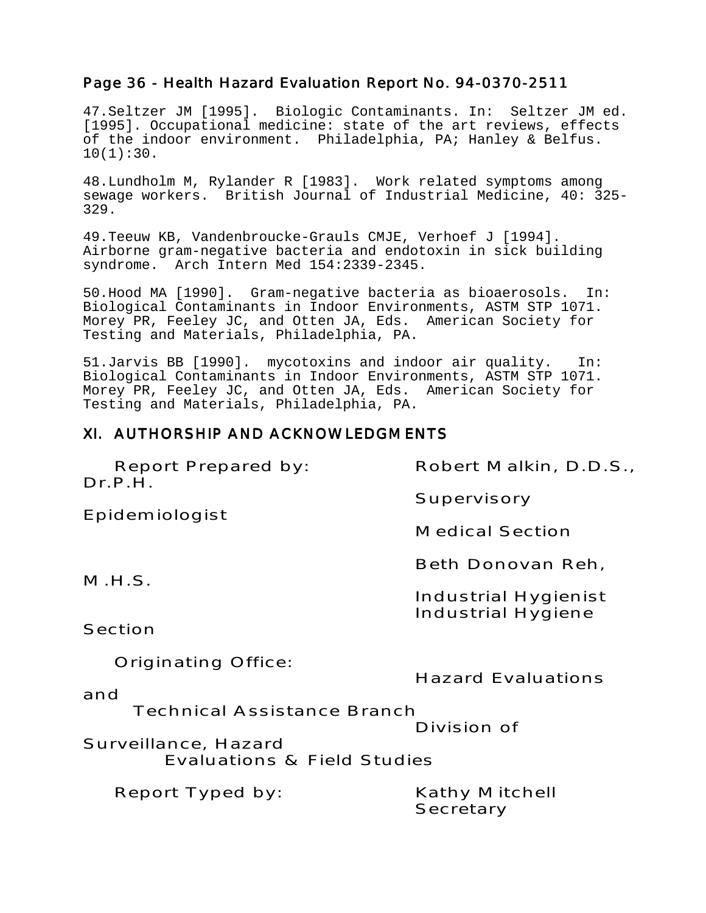## Page 36 - Health Hazard Evaluation Report No. 94-0370-2511

47.Seltzer JM [1995]. Biologic Contaminants. In: Seltzer JM ed. [1995]. Occupational medicine: state of the art reviews, effects of the indoor environment. Philadelphia, PA; Hanley & Belfus.  $10(1):30.$ 

48.Lundholm M, Rylander R [1983]. Work related symptoms among sewage workers. British Journal of Industrial Medicine, 40: 325- 329.

49.Teeuw KB, Vandenbroucke-Grauls CMJE, Verhoef J [1994]. Airborne gram-negative bacteria and endotoxin in sick building syndrome. Arch Intern Med 154:2339-2345.

50.Hood MA [1990]. Gram-negative bacteria as bioaerosols. In: Biological Contaminants in Indoor Environments, ASTM STP 1071. Morey PR, Feeley JC, and Otten JA, Eds. American Society for Testing and Materials, Philadelphia, PA.

51.Jarvis BB [1990]. mycotoxins and indoor air quality. In: Biological Contaminants in Indoor Environments, ASTM STP 1071. Morey PR, Feeley JC, and Otten JA, Eds. American Society for Testing and Materials, Philadelphia, PA.

#### XI. AUTHORSHIP AND ACKNOWLEDGMENTS

| Report Prepared by: | Robert Malkin, D.D.S., |
|---------------------|------------------------|
| Dr.P.H.             |                        |
|                     | Supervisory            |

Epidemiologist

Medical Section

Beth Donovan Reh,

M.H.S.

Industrial Hygienist Industrial Hygiene

Section

Originating Office:

Hazard Evaluations

and

Technical Assistance Branch

Division of

Surveillance, Hazard Evaluations & Field Studies

Report Typed by: Kathy Mitchell

**Secretary**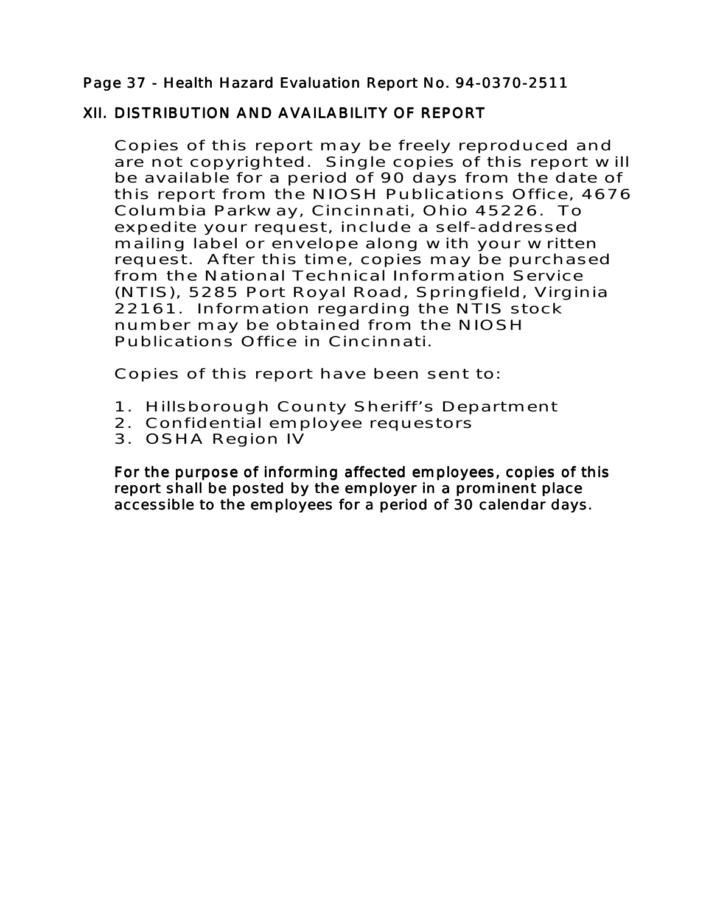# Page 37 - Health Hazard Evaluation Report No. 94-0370-2511

# XII. DISTRIBUTION AND AVAILABILITY OF REPORT

Copies of this report may be freely reproduced and are not copyrighted. Single copies of this report will be available for a period of 90 days from the date of this report from the NIOSH Publications Office, 4676 Columbia Parkway, Cincinnati, Ohio 45226. To expedite your request, include a self-addressed mailing label or envelope along with your written request. After this time, copies may be purchased from the National Technical Information Service (NTIS), 5285 Port Royal Road, Springfield, Virginia 22161. Information regarding the NTIS stock number may be obtained from the NIOSH Publications Office in Cincinnati.

Copies of this report have been sent to:

- 1. Hillsborough County Sheriff's Department
- 2. Confidential employee requestors
- 3. OSHA Region IV

For the purpose of informing affected employees, copies of this report shall be posted by the employer in a prominent place accessible to the employees for a period of 30 calendar days.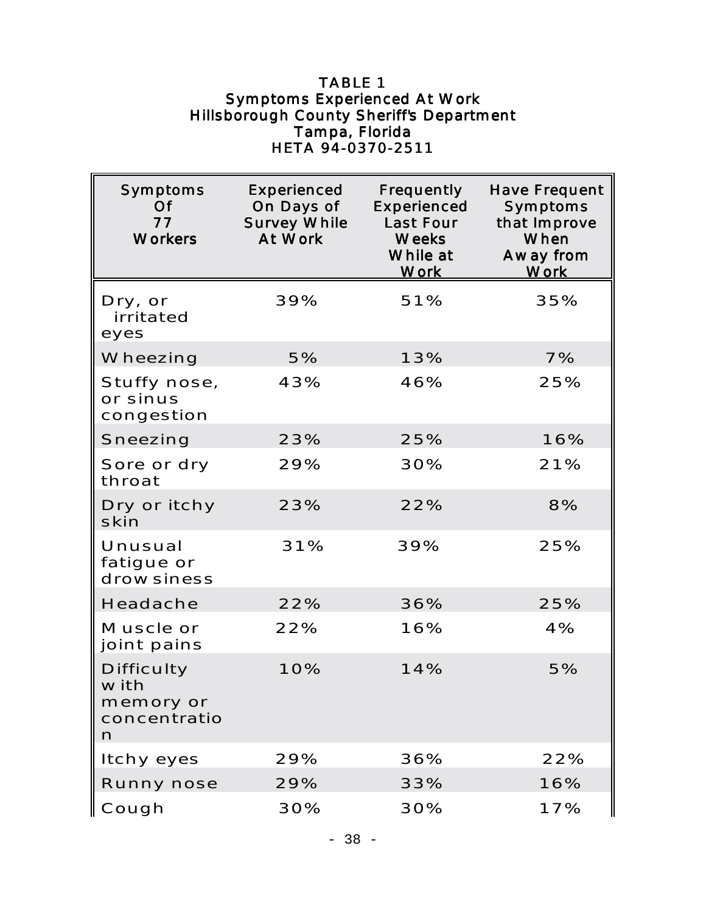## TABLE 1 Symptoms Experienced At Work Hillsborough County Sheriff's Department Tampa, Florida HETA 94-0370-2511

| Symptoms<br>Of<br>77<br><b>Workers</b>                      | <b>Experienced</b><br>On Days of<br><b>Survey While</b><br>At Work | Frequently<br>Experienced<br>Last Four<br><b>Weeks</b><br>While at<br><b>Work</b> | <b>Have Frequent</b><br>Symptoms<br>that Improve<br>When<br>Away from<br><u>Work</u> |
|-------------------------------------------------------------|--------------------------------------------------------------------|-----------------------------------------------------------------------------------|--------------------------------------------------------------------------------------|
| Dry, or<br>irritated<br>eyes                                | 39%                                                                | 51%                                                                               | 35%                                                                                  |
| Wheezing                                                    | 5%                                                                 | 13%                                                                               | 7%                                                                                   |
| Stuffy nose,<br>or sinus<br>congestion                      | 43%                                                                | 46%                                                                               | 25%                                                                                  |
| Sneezing                                                    | 23%                                                                | 25%                                                                               | 16%                                                                                  |
| Sore or dry<br>throat                                       | 29%                                                                | 30%                                                                               | 21%                                                                                  |
| Dry or itchy<br>skin                                        | 23%                                                                | 22%                                                                               | 8%                                                                                   |
| Unusual<br>fatigue or<br>drowsiness                         | 31%                                                                | 39%                                                                               | 25%                                                                                  |
| Headache                                                    | 22%                                                                | 36%                                                                               | 25%                                                                                  |
| Muscle or<br>joint pains                                    | 22%                                                                | 16%                                                                               | 4%                                                                                   |
| <b>Difficulty</b><br>with<br>memory or<br>concentratio<br>n | 10%                                                                | 14%                                                                               | 5%                                                                                   |
| Itchy eyes                                                  | 29%                                                                | 36%                                                                               | 22%                                                                                  |
| Runny nose                                                  | 29%                                                                | 33%                                                                               | 16%                                                                                  |
| Cough                                                       | 30%                                                                | 30%                                                                               | 17%                                                                                  |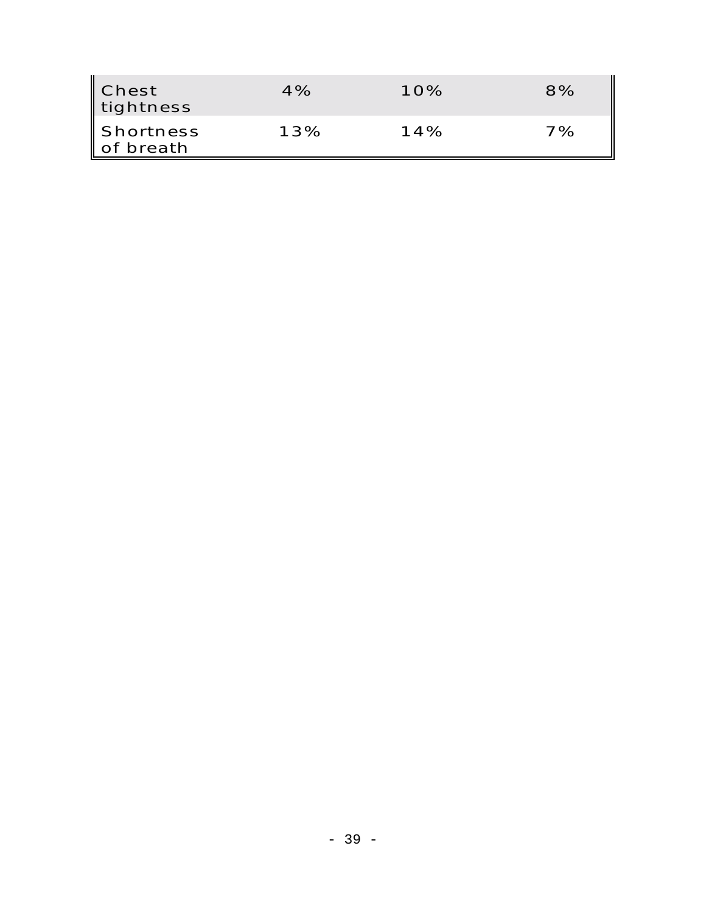| ∥ Chest<br>tightness             | 4%  | 10% | 8% |
|----------------------------------|-----|-----|----|
| $\sf I$ Shortness<br>l of breath | 13% | 14% | 7% |